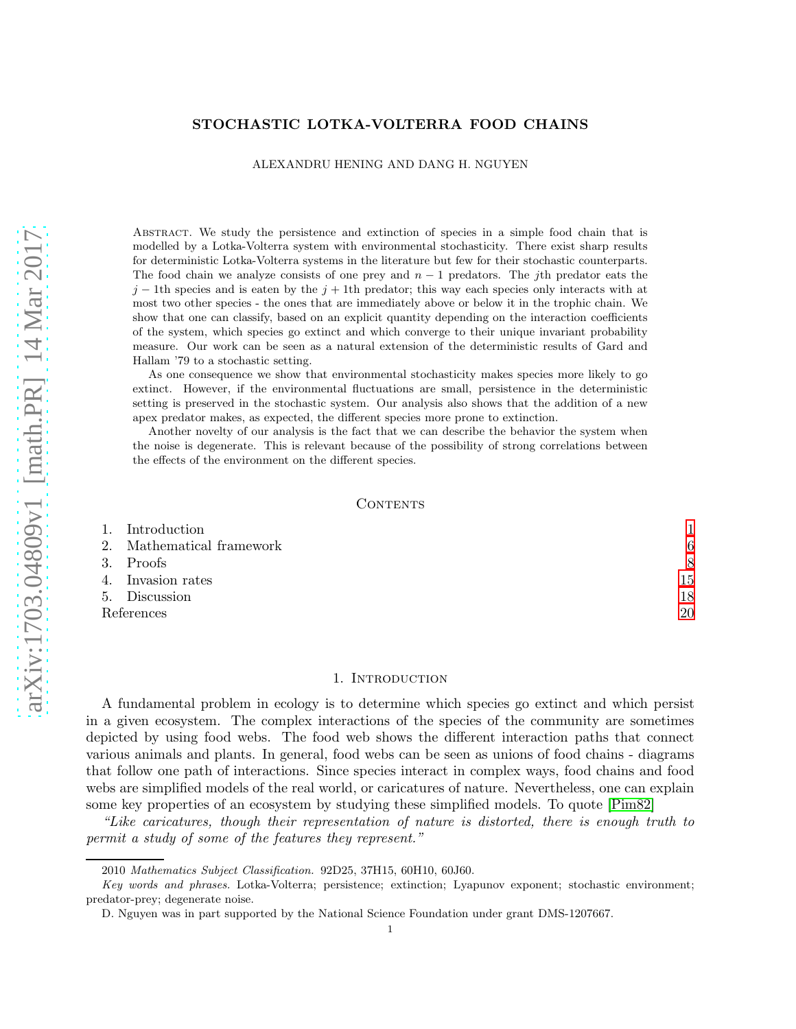# STOCHASTIC LOTKA-VOLTERRA FOOD CHAINS

## ALEXANDRU HENING AND DANG H. NGUYEN

Abstract. We study the persistence and extinction of species in a simple food chain that is modelled by a Lotka-Volterra system with environmental stochasticity. There exist sharp results for deterministic Lotka-Volterra systems in the literature but few for their stochastic counterparts. The food chain we analyze consists of one prey and  $n-1$  predators. The jth predator eats the  $j-1$ th species and is eaten by the  $j+1$ th predator; this way each species only interacts with at most two other species - the ones that are immediately above or below it in the trophic chain. We show that one can classify, based on an explicit quantity depending on the interaction coefficients of the system, which species go extinct and which converge to their unique invariant probability measure. Our work can be seen as a natural extension of the deterministic results of Gard and Hallam '79 to a stochastic setting.

As one consequence we show that environmental stochasticity makes species more likely to go extinct. However, if the environmental fluctuations are small, persistence in the deterministic setting is preserved in the stochastic system. Our analysis also shows that the addition of a new apex predator makes, as expected, the different species more prone to extinction.

Another novelty of our analysis is the fact that we can describe the behavior the system when the noise is degenerate. This is relevant because of the possibility of strong correlations between the effects of the environment on the different species.

#### CONTENTS

|            | 1. Introduction           |    |
|------------|---------------------------|----|
|            | 2. Mathematical framework | 6  |
|            | 3. Proofs                 | 8  |
|            | 4. Invasion rates         | 15 |
|            | 5. Discussion             | 18 |
| References | 20                        |    |

## 1. INTRODUCTION

<span id="page-0-0"></span>A fundamental problem in ecology is to determine which species go extinct and which persist in a given ecosystem. The complex interactions of the species of the community are sometimes depicted by using food webs. The food web shows the different interaction paths that connect various animals and plants. In general, food webs can be seen as unions of food chains - diagrams that follow one path of interactions. Since species interact in complex ways, food chains and food webs are simplified models of the real world, or caricatures of nature. Nevertheless, one can explain some key properties of an ecosystem by studying these simplified models. To quote [\[Pim82\]](#page-20-0)

"Like caricatures, though their representation of nature is distorted, there is enough truth to permit a study of some of the features they represent."

<sup>2010</sup> Mathematics Subject Classification. 92D25, 37H15, 60H10, 60J60.

Key words and phrases. Lotka-Volterra; persistence; extinction; Lyapunov exponent; stochastic environment; predator-prey; degenerate noise.

D. Nguyen was in part supported by the National Science Foundation under grant DMS-1207667.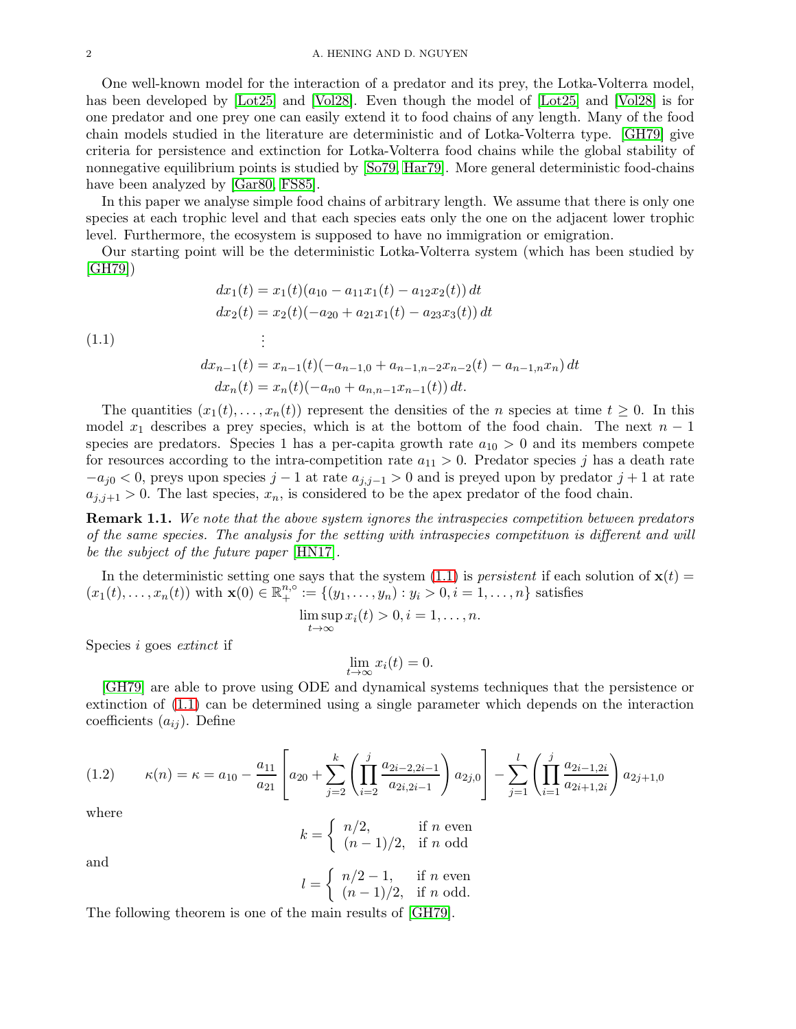One well-known model for the interaction of a predator and its prey, the Lotka-Volterra model, has been developed by [\[Lot25\]](#page-20-1) and [\[Vol28\]](#page-21-0). Even though the model of [\[Lot25\]](#page-20-1) and [\[Vol28\]](#page-21-0) is for one predator and one prey one can easily extend it to food chains of any length. Many of the food chain models studied in the literature are deterministic and of Lotka-Volterra type. [\[GH79\]](#page-20-2) give criteria for persistence and extinction for Lotka-Volterra food chains while the global stability of nonnegative equilibrium points is studied by [\[So79,](#page-20-3) [Har79\]](#page-20-4). More general deterministic food-chains have been analyzed by [\[Gar80,](#page-20-5) [FS85\]](#page-20-6).

In this paper we analyse simple food chains of arbitrary length. We assume that there is only one species at each trophic level and that each species eats only the one on the adjacent lower trophic level. Furthermore, the ecosystem is supposed to have no immigration or emigration.

Our starting point will be the deterministic Lotka-Volterra system (which has been studied by [\[GH79\]](#page-20-2))

<span id="page-1-0"></span>
$$
dx_1(t) = x_1(t)(a_{10} - a_{11}x_1(t) - a_{12}x_2(t)) dt
$$
  
\n
$$
dx_2(t) = x_2(t)(-a_{20} + a_{21}x_1(t) - a_{23}x_3(t)) dt
$$
  
\n
$$
\vdots
$$
  
\n
$$
dx_{n-1}(t) = x_{n-1}(t)(-a_{n-1,0} + a_{n-1,n-2}x_{n-2}(t) - a_{n-1,n}x_n) dt
$$
  
\n
$$
dx_n(t) = x_n(t)(-a_{n0} + a_{n,n-1}x_{n-1}(t)) dt.
$$

The quantities  $(x_1(t), \ldots, x_n(t))$  represent the densities of the *n* species at time  $t \geq 0$ . In this model  $x_1$  describes a prey species, which is at the bottom of the food chain. The next  $n-1$ species are predators. Species 1 has a per-capita growth rate  $a_{10} > 0$  and its members compete for resources according to the intra-competition rate  $a_{11} > 0$ . Predator species j has a death rate  $-a_{j0} < 0$ , preys upon species  $j-1$  at rate  $a_{j,j-1} > 0$  and is preyed upon by predator  $j+1$  at rate  $a_{j,j+1} > 0$ . The last species,  $x_n$ , is considered to be the apex predator of the food chain.

**Remark 1.1.** We note that the above system ignores the intraspecies competition between predators of the same species. The analysis for the setting with intraspecies competituon is different and will be the subject of the future paper [\[HN17\]](#page-20-7).

In the deterministic setting one says that the system [\(1.1\)](#page-1-0) is *persistent* if each solution of  $\mathbf{x}(t)$  =  $(x_1(t),...,x_n(t))$  with  $\mathbf{x}(0) \in \mathbb{R}^{n,\circ}_+ := \{(y_1,...,y_n) : y_i > 0, i = 1,...,n\}$  satisfies

$$
\limsup_{t\to\infty}x_i(t)>0, i=1,\ldots,n.
$$

Species i goes extinct if

$$
\lim_{t \to \infty} x_i(t) = 0.
$$

[\[GH79\]](#page-20-2) are able to prove using ODE and dynamical systems techniques that the persistence or extinction of [\(1.1\)](#page-1-0) can be determined using a single parameter which depends on the interaction coefficients  $(a_{ij})$ . Define

<span id="page-1-1"></span>
$$
(1.2) \qquad \kappa(n) = \kappa = a_{10} - \frac{a_{11}}{a_{21}} \left[ a_{20} + \sum_{j=2}^k \left( \prod_{i=2}^j \frac{a_{2i-2,2i-1}}{a_{2i,2i-1}} \right) a_{2j,0} \right] - \sum_{j=1}^l \left( \prod_{i=1}^j \frac{a_{2i-1,2i}}{a_{2i+1,2i}} \right) a_{2j+1,0}
$$

where

$$
k = \begin{cases} n/2, & \text{if } n \text{ even} \\ (n-1)/2, & \text{if } n \text{ odd} \end{cases}
$$

and

$$
l = \begin{cases} n/2 - 1, & \text{if } n \text{ even} \\ (n - 1)/2, & \text{if } n \text{ odd.} \end{cases}
$$

The following theorem is one of the main results of [\[GH79\]](#page-20-2).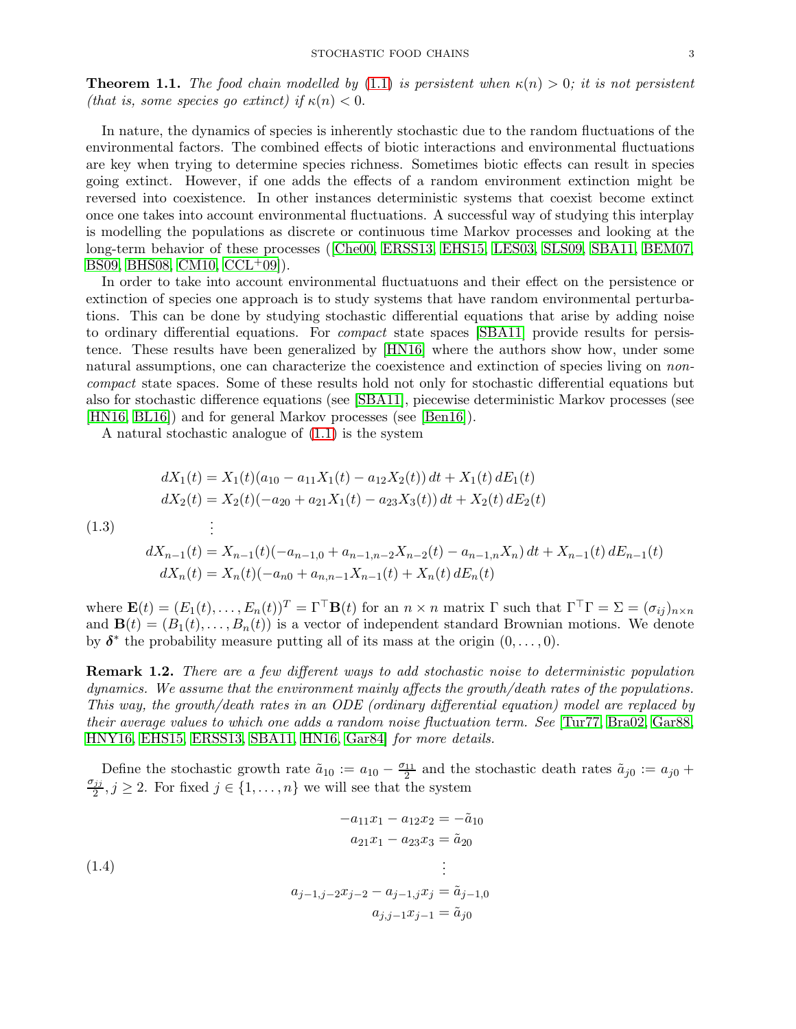**Theorem 1.1.** The food chain modelled by [\(1.1\)](#page-1-0) is persistent when  $\kappa(n) > 0$ ; it is not persistent (that is, some species go extinct) if  $\kappa(n) < 0$ .

In nature, the dynamics of species is inherently stochastic due to the random fluctuations of the environmental factors. The combined effects of biotic interactions and environmental fluctuations are key when trying to determine species richness. Sometimes biotic effects can result in species going extinct. However, if one adds the effects of a random environment extinction might be reversed into coexistence. In other instances deterministic systems that coexist become extinct once one takes into account environmental fluctuations. A successful way of studying this interplay is modelling the populations as discrete or continuous time Markov processes and looking at the long-term behavior of these processes([\[Che00,](#page-19-1) [ERSS13,](#page-19-2) [EHS15,](#page-19-3) [LES03,](#page-20-8) [SLS09,](#page-20-9) [SBA11,](#page-20-10) [BEM07,](#page-19-4) [BS09,](#page-19-5) [BHS08,](#page-19-6) [CM10,](#page-19-7) [CCL](#page-19-8)<sup>+</sup>09...

In order to take into account environmental fluctuatuons and their effect on the persistence or extinction of species one approach is to study systems that have random environmental perturbations. This can be done by studying stochastic differential equations that arise by adding noise to ordinary differential equations. For *compact* state spaces [\[SBA11\]](#page-20-10) provide results for persistence. These results have been generalized by [\[HN16\]](#page-20-11) where the authors show how, under some natural assumptions, one can characterize the coexistence and extinction of species living on *non*compact state spaces. Some of these results hold not only for stochastic differential equations but also for stochastic difference equations (see [\[SBA11\]](#page-20-10), piecewise deterministic Markov processes (see [\[HN16,](#page-20-11) [BL16\]](#page-19-9)) and for general Markov processes (see [\[Ben16\]](#page-19-10)).

A natural stochastic analogue of [\(1.1\)](#page-1-0) is the system

<span id="page-2-0"></span>
$$
dX_1(t) = X_1(t)(a_{10} - a_{11}X_1(t) - a_{12}X_2(t)) dt + X_1(t) dE_1(t)
$$
  
\n
$$
dX_2(t) = X_2(t)(-a_{20} + a_{21}X_1(t) - a_{23}X_3(t)) dt + X_2(t) dE_2(t)
$$
  
\n(1.3)  
\n
$$
\vdots
$$
  
\n
$$
dX_{n-1}(t) = X_{n-1}(t)(-a_{n-1,0} + a_{n-1,n-2}X_{n-2}(t) - a_{n-1,n}X_n) dt + X_{n-1}(t) dE_{n-1}(t)
$$
  
\n
$$
dX_n(t) = X_n(t)(-a_{n0} + a_{n,n-1}X_{n-1}(t) + X_n(t) dE_n(t)
$$

where  $\mathbf{E}(t) = (E_1(t), \dots, E_n(t))^T = \Gamma^\top \mathbf{B}(t)$  for an  $n \times n$  matrix  $\Gamma$  such that  $\Gamma^\top \Gamma = \Sigma = (\sigma_{ij})_{n \times n}$ and  $\mathbf{B}(t) = (B_1(t), \ldots, B_n(t))$  is a vector of independent standard Brownian motions. We denote by  $\delta^*$  the probability measure putting all of its mass at the origin  $(0, \ldots, 0)$ .

Remark 1.2. There are a few different ways to add stochastic noise to deterministic population dynamics. We assume that the environment mainly affects the growth/death rates of the populations. This way, the growth/death rates in an ODE (ordinary differential equation) model are replaced by their average values to which one adds a random noise fluctuation term. See [\[Tur77,](#page-20-12) [Bra02,](#page-19-11) [Gar88,](#page-20-13) [HNY16,](#page-20-14) [EHS15,](#page-19-3) [ERSS13,](#page-19-2) [SBA11,](#page-20-10) [HN16,](#page-20-11) [Gar84\]](#page-20-15) for more details.

Define the stochastic growth rate  $\tilde{a}_{10} := a_{10} - \frac{\sigma_{11}}{2}$  $\frac{11}{2}$  and the stochastic death rates  $\tilde{a}_{j0} := a_{j0} +$  $\sigma_{jj}$  $\frac{jj}{2}, j \geq 2$ . For fixed  $j \in \{1, \ldots, n\}$  we will see that the system

<span id="page-2-1"></span>
$$
-a_{11}x_1 - a_{12}x_2 = -\tilde{a}_{10}
$$
  
\n
$$
a_{21}x_1 - a_{23}x_3 = \tilde{a}_{20}
$$
  
\n
$$
\vdots
$$
  
\n
$$
a_{j-1,j-2}x_{j-2} - a_{j-1,j}x_j = \tilde{a}_{j-1,0}
$$
  
\n
$$
a_{j,j-1}x_{j-1} = \tilde{a}_{j0}
$$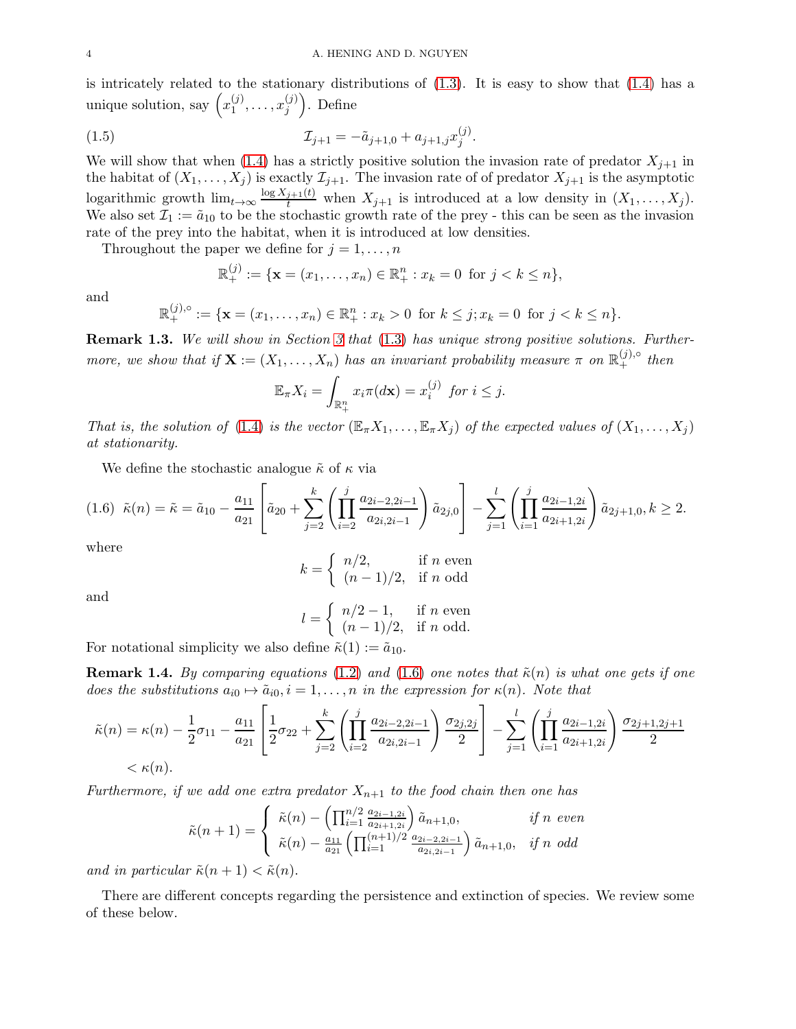is intricately related to the stationary distributions of [\(1.3\)](#page-2-0). It is easy to show that [\(1.4\)](#page-2-1) has a unique solution, say  $\left(x_1^{(j)}\right)$  $x_j^{(j)},\ldots,x_j^{(j)}$ j . Define

(1.5) 
$$
\mathcal{I}_{j+1} = -\tilde{a}_{j+1,0} + a_{j+1,j} x_j^{(j)}.
$$

We will show that when [\(1.4\)](#page-2-1) has a strictly positive solution the invasion rate of predator  $X_{j+1}$  in the habitat of  $(X_1, \ldots, X_j)$  is exactly  $\mathcal{I}_{j+1}$ . The invasion rate of of predator  $X_{j+1}$  is the asymptotic logarithmic growth  $\lim_{t\to\infty} \frac{\log X_{j+1}(t)}{t}$  when  $X_{j+1}$  is introduced at a low density in  $(X_1,\ldots,X_j)$ . We also set  $\mathcal{I}_1 := \tilde{a}_{10}$  to be the stochastic growth rate of the prey - this can be seen as the invasion rate of the prey into the habitat, when it is introduced at low densities.

Throughout the paper we define for  $j = 1, \ldots, n$ 

<span id="page-3-1"></span>
$$
\mathbb{R}^{(j)}_+ := \{ \mathbf{x} = (x_1, \dots, x_n) \in \mathbb{R}^n_+ : x_k = 0 \text{ for } j < k \le n \},
$$

and

$$
\mathbb{R}_{+}^{(j),\circ} := \{ \mathbf{x} = (x_1, \dots, x_n) \in \mathbb{R}_{+}^n : x_k > 0 \text{ for } k \leq j; x_k = 0 \text{ for } j < k \leq n \}.
$$

Remark 1.3. We will show in Section [3](#page-7-0) that [\(1.3\)](#page-2-0) has unique strong positive solutions. Furthermore, we show that if  $\mathbf{X} := (X_1, \ldots, X_n)$  has an invariant probability measure  $\pi$  on  $\mathbb{R}^{(j),\circ}_+$  then

$$
\mathbb{E}_{\pi}X_i = \int_{\mathbb{R}_+^n} x_i \pi(d\mathbf{x}) = x_i^{(j)} \text{ for } i \leq j.
$$

That is, the solution of [\(1.4\)](#page-2-1) is the vector  $(\mathbb{E}_{\pi}X_1,\ldots,\mathbb{E}_{\pi}X_i)$  of the expected values of  $(X_1,\ldots,X_i)$ at stationarity.

We define the stochastic analogue  $\tilde{\kappa}$  of  $\kappa$  via

<span id="page-3-0"></span>
$$
(1.6) \quad \tilde{\kappa}(n) = \tilde{\kappa} = \tilde{a}_{10} - \frac{a_{11}}{a_{21}} \left[ \tilde{a}_{20} + \sum_{j=2}^k \left( \prod_{i=2}^j \frac{a_{2i-2,2i-1}}{a_{2i,2i-1}} \right) \tilde{a}_{2j,0} \right] - \sum_{j=1}^l \left( \prod_{i=1}^j \frac{a_{2i-1,2i}}{a_{2i+1,2i}} \right) \tilde{a}_{2j+1,0}, k \ge 2.
$$

where

$$
k = \begin{cases} n/2, & \text{if } n \text{ even} \\ (n-1)/2, & \text{if } n \text{ odd} \end{cases}
$$

and

$$
l = \begin{cases} n/2 - 1, & \text{if } n \text{ even} \\ (n - 1)/2, & \text{if } n \text{ odd.} \end{cases}
$$

For notational simplicity we also define  $\tilde{\kappa}(1) := \tilde{a}_{10}$ .

**Remark 1.4.** By comparing equations [\(1.2\)](#page-1-1) and [\(1.6\)](#page-3-0) one notes that  $\tilde{\kappa}(n)$  is what one gets if one does the substitutions  $a_{i0} \mapsto \tilde{a}_{i0}, i = 1, \ldots, n$  in the expression for  $\kappa(n)$ . Note that

$$
\tilde{\kappa}(n) = \kappa(n) - \frac{1}{2}\sigma_{11} - \frac{a_{11}}{a_{21}} \left[ \frac{1}{2}\sigma_{22} + \sum_{j=2}^k \left( \prod_{i=2}^j \frac{a_{2i-2,2i-1}}{a_{2i,2i-1}} \right) \frac{\sigma_{2j,2j}}{2} \right] - \sum_{j=1}^l \left( \prod_{i=1}^j \frac{a_{2i-1,2i}}{a_{2i+1,2i}} \right) \frac{\sigma_{2j+1,2j+1}}{2} < \kappa(n).
$$

Furthermore, if we add one extra predator  $X_{n+1}$  to the food chain then one has

$$
\tilde{\kappa}(n+1) = \begin{cases}\n\tilde{\kappa}(n) - \left(\prod_{i=1}^{n/2} \frac{a_{2i-1,2i}}{a_{2i+1,2i}}\right) \tilde{a}_{n+1,0}, & \text{if } n \text{ even} \\
\tilde{\kappa}(n) - \frac{a_{11}}{a_{21}} \left(\prod_{i=1}^{(n+1)/2} \frac{a_{2i-2,2i-1}}{a_{2i,2i-1}}\right) \tilde{a}_{n+1,0}, & \text{if } n \text{ odd}\n\end{cases}
$$

and in particular  $\tilde{\kappa}(n+1) < \tilde{\kappa}(n)$ .

There are different concepts regarding the persistence and extinction of species. We review some of these below.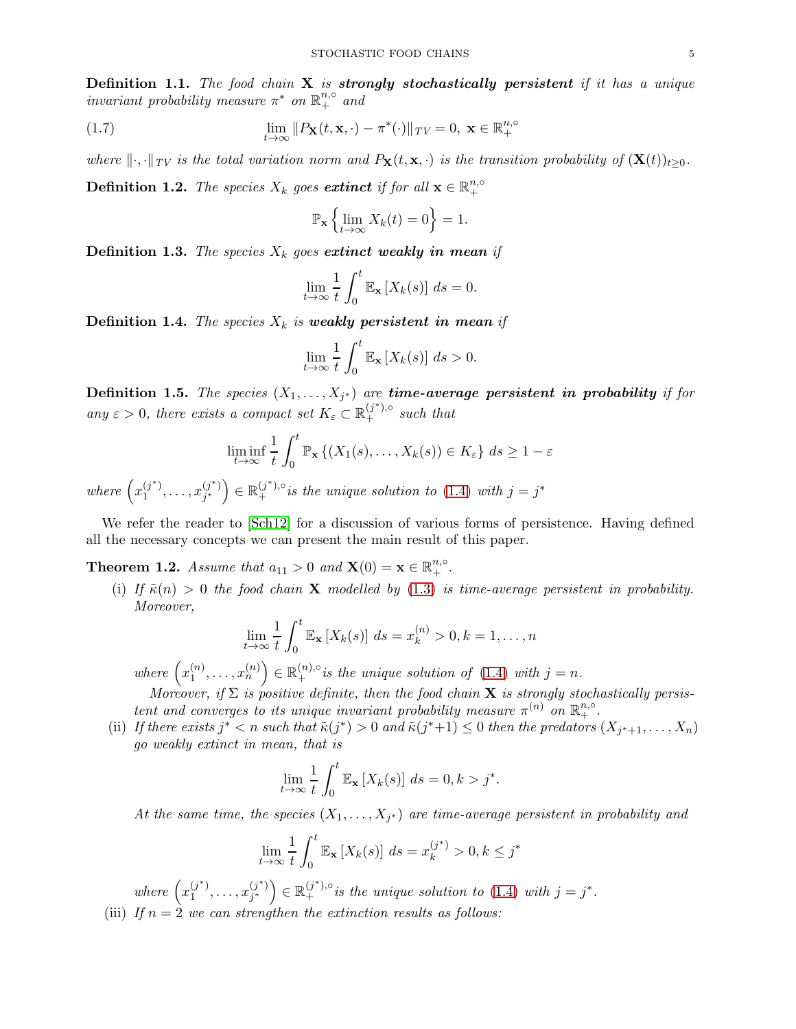**Definition 1.1.** The food chain  $X$  is strongly stochastically persistent if it has a unique invariant probability measure  $\pi^*$  on  $\mathbb{R}^{n,\circ}_+$  and

(1.7) 
$$
\lim_{t \to \infty} ||P_{\mathbf{X}}(t, \mathbf{x}, \cdot) - \pi^*(\cdot)||_{TV} = 0, \ \mathbf{x} \in \mathbb{R}^{n, \circ}_{+}
$$

where  $\|\cdot,\cdot\|_{TV}$  is the total variation norm and  $P_{\mathbf{X}}(t,\mathbf{x},\cdot)$  is the transition probability of  $(\mathbf{X}(t))_{t>0}$ .

**Definition 1.2.** The species  $X_k$  goes extinct if for all  $\mathbf{x} \in \mathbb{R}_+^{n,\circ}$ +

$$
\mathbb{P}_{\mathbf{x}}\left\{\lim_{t\to\infty}X_k(t)=0\right\}=1.
$$

**Definition 1.3.** The species  $X_k$  goes extinct weakly in mean if

$$
\lim_{t \to \infty} \frac{1}{t} \int_0^t \mathbb{E}_{\mathbf{x}} \left[ X_k(s) \right] ds = 0.
$$

**Definition 1.4.** The species  $X_k$  is weakly persistent in mean if

$$
\lim_{t \to \infty} \frac{1}{t} \int_0^t \mathbb{E}_{\mathbf{x}} \left[ X_k(s) \right] ds > 0.
$$

**Definition 1.5.** The species  $(X_1, \ldots, X_{j^*})$  are **time-average persistent in probability** if for any  $\varepsilon > 0$ , there exists a compact set  $K_{\varepsilon} \subset \mathbb{R}^{(j^*)\circ}_+$  such that

$$
\liminf_{t \to \infty} \frac{1}{t} \int_0^t \mathbb{P}_{\mathbf{x}} \left\{ (X_1(s), \dots, X_k(s)) \in K_{\varepsilon} \right\} ds \ge 1 - \varepsilon
$$

where  $\left(x_1^{(j^*)}\right)$  $x_1^{(j^*)}, \ldots, x_{j^*}^{(j^*)}$  ${j^* \choose j^*} \in \mathbb{R}_+^{(j^*),\circ}$  is the unique solution to [\(1.4\)](#page-2-1) with  $j = j^*$ 

We refer the reader to  $\lceil \text{Sch} 12 \rceil$  for a discussion of various forms of persistence. Having defined all the necessary concepts we can present the main result of this paper.

<span id="page-4-0"></span>**Theorem 1.2.** Assume that  $a_{11} > 0$  and  $\mathbf{X}(0) = \mathbf{x} \in \mathbb{R}_+^{n, \circ}$ .

(i) If  $\tilde{\kappa}(n) > 0$  the food chain **X** modelled by [\(1.3\)](#page-2-0) is time-average persistent in probability. Moreover,

$$
\lim_{t \to \infty} \frac{1}{t} \int_0^t \mathbb{E}_{\mathbf{x}} \left[ X_k(s) \right] ds = x_k^{(n)} > 0, k = 1, \dots, n
$$

where  $\left(x_1^{(n)}\right)$  $\mathbf{I}_{1}^{(n)},\ldots,\mathbf{I}_{n}^{(n)}$   $\in \mathbb{R}_{+}^{(n),\circ}$  is the unique solution of [\(1.4\)](#page-2-1) with  $j=n$ .

Moreover, if  $\Sigma$  is positive definite, then the food chain **X** is strongly stochastically persistent and converges to its unique invariant probability measure  $\pi^{(n)}$  on  $\mathbb{R}^{n,\circ}_+$ .

(ii) If there exists  $j^* < n$  such that  $\tilde{\kappa}(j^*) > 0$  and  $\tilde{\kappa}(j^*+1) \leq 0$  then the predators  $(X_{j^*+1}, \ldots, X_n)$ go weakly extinct in mean, that is

$$
\lim_{t \to \infty} \frac{1}{t} \int_0^t \mathbb{E}_\mathbf{x} \left[ X_k(s) \right] ds = 0, k > j^*.
$$

At the same time, the species  $(X_1, \ldots, X_{j^*})$  are time-average persistent in probability and

$$
\lim_{t \to \infty} \frac{1}{t} \int_0^t \mathbb{E}_\mathbf{x} \left[ X_k(s) \right] ds = x_k^{(j^*)} > 0, k \le j^*
$$

where  $\left(x_1^{(j^*)}\right)$  $x_1^{(j^*)}, \ldots, x_{j^*}^{(j^*)}$  $\begin{pmatrix} (j^*) \\ j^* \end{pmatrix} \in \mathbb{R}^{(j^*),\circ}_+$  is the unique solution to [\(1.4\)](#page-2-1) with  $j = j^*$ . (iii) If  $n = 2$  we can strengthen the extinction results as follows: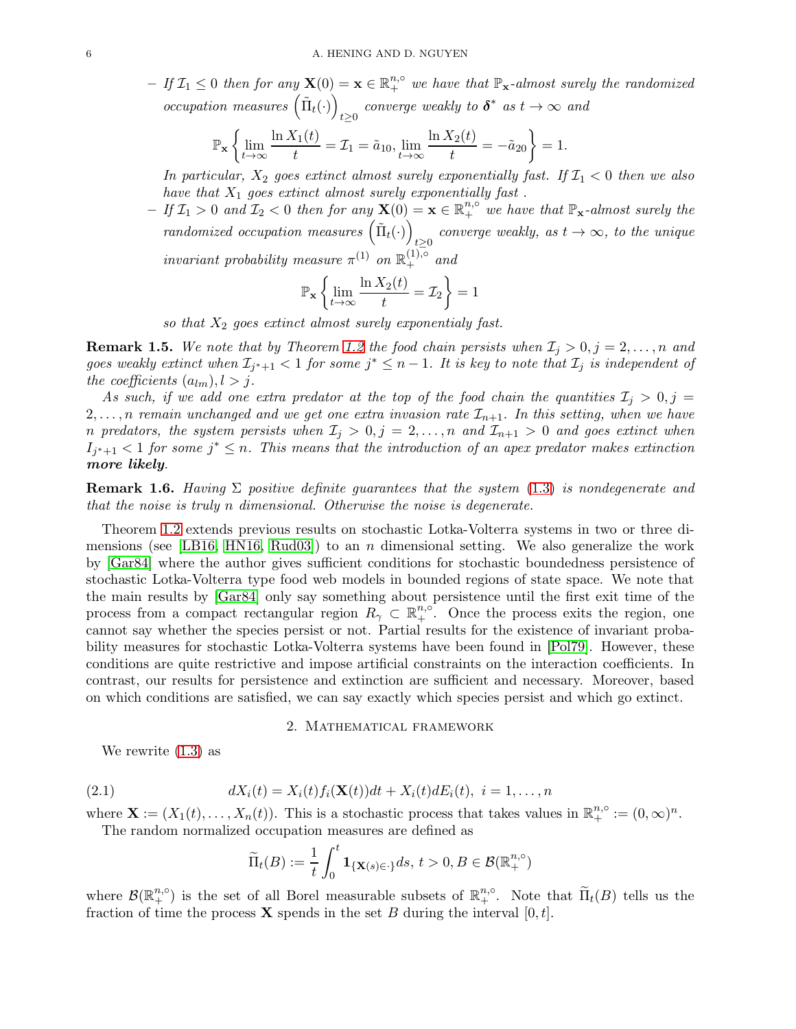$-If \,\mathcal{I}_1 \leq 0$  then for any  $\mathbf{X}(0) = \mathbf{x} \in \mathbb{R}^{n,\circ}_+$  we have that  $\mathbb{P}_\mathbf{x}$ -almost surely the randomized occupation measures  $(\tilde{\Pi}_t(\cdot))$ *t* $\geq 0$  converge weakly to  $\delta^*$  as  $t \to \infty$  and

$$
\mathbb{P}_{\mathbf{x}}\left\{\lim_{t\to\infty}\frac{\ln X_1(t)}{t}=\mathcal{I}_1=\tilde{a}_{10},\lim_{t\to\infty}\frac{\ln X_2(t)}{t}=-\tilde{a}_{20}\right\}=1.
$$

In particular,  $X_2$  goes extinct almost surely exponentially fast. If  $\mathcal{I}_1 < 0$  then we also have that  $X_1$  goes extinct almost surely exponentially fast.

 $-If\,\mathcal{I}_1>0$  and  $\mathcal{I}_2<0$  then for any  $\mathbf{X}(0)=\mathbf{x}\in\mathbb{R}^{n,\circ}_+$  we have that  $\mathbb{P}_\mathbf{x}$ -almost surely the randomized occupation measures  $(\tilde{\Pi}_t(\cdot))$ converge weakly, as  $t \to \infty$ , to the unique  $t \geq 0$ *invariant probability measure*  $\pi^{(1)}$  *on*  $\mathbb{R}^{(1),\circ}_+$  *and* 

$$
\mathbb{P}_{\mathbf{x}}\left\{\lim_{t\to\infty}\frac{\ln X_2(t)}{t}=\mathcal{I}_2\right\}=1
$$

so that  $X_2$  goes extinct almost surely exponentialy fast.

**Remark 1.5.** We note that by Theorem [1.2](#page-4-0) the food chain persists when  $\mathcal{I}_j > 0, j = 2, \ldots, n$  and goes weakly extinct when  $\mathcal{I}_{j^*+1} < 1$  for some  $j^* \leq n-1$ . It is key to note that  $\mathcal{I}_j$  is independent of the coefficients  $(a_{lm}), l > j.$ 

As such, if we add one extra predator at the top of the food chain the quantities  $\mathcal{I}_j > 0, j =$  $2, \ldots, n$  remain unchanged and we get one extra invasion rate  $\mathcal{I}_{n+1}$ . In this setting, when we have n predators, the system persists when  $\mathcal{I}_j > 0, j = 2, \ldots, n$  and  $\mathcal{I}_{n+1} > 0$  and goes extinct when  $I_{j^*+1}$  < 1 for some  $j^* \leq n$ . This means that the introduction of an apex predator makes extinction more likely.

**Remark 1.6.** Having  $\Sigma$  positive definite guarantees that the system [\(1.3\)](#page-2-0) is nondegenerate and that the noise is truly n dimensional. Otherwise the noise is degenerate.

Theorem [1.2](#page-4-0) extends previous results on stochastic Lotka-Volterra systems in two or three di-mensions (see [\[LB16,](#page-20-17) [HN16,](#page-20-11) [Rud03\]](#page-20-18)) to an n dimensional setting. We also generalize the work by [\[Gar84\]](#page-20-15) where the author gives sufficient conditions for stochastic boundedness persistence of stochastic Lotka-Volterra type food web models in bounded regions of state space. We note that the main results by [\[Gar84\]](#page-20-15) only say something about persistence until the first exit time of the process from a compact rectangular region  $R_{\gamma} \subset \mathbb{R}^{n,\circ}$ . Once the process exits the region, one cannot say whether the species persist or not. Partial results for the existence of invariant probability measures for stochastic Lotka-Volterra systems have been found in [\[Pol79\]](#page-20-19). However, these conditions are quite restrictive and impose artificial constraints on the interaction coefficients. In contrast, our results for persistence and extinction are sufficient and necessary. Moreover, based on which conditions are satisfied, we can say exactly which species persist and which go extinct.

## 2. Mathematical framework

<span id="page-5-0"></span>We rewrite [\(1.3\)](#page-2-0) as

(2.1) 
$$
dX_i(t) = X_i(t) f_i(\mathbf{X}(t)) dt + X_i(t) dE_i(t), \ i = 1, ..., n
$$

where  $\mathbf{X} := (X_1(t), \ldots, X_n(t))$ . This is a stochastic process that takes values in  $\mathbb{R}^{n, \circ}_+ := (0, \infty)^n$ . The random normalized occupation measures are defined as

<span id="page-5-1"></span>
$$
\widetilde{\Pi}_t(B) := \frac{1}{t} \int_0^t \mathbf{1}_{\{\mathbf{X}(s) \in \cdot\}} ds, \, t > 0, B \in \mathcal{B}(\mathbb{R}^{n, \circ}_+)
$$

where  $\mathcal{B}(\mathbb{R}^{n,\circ}_+)$  is the set of all Borel measurable subsets of  $\mathbb{R}^{n,\circ}_+$ . Note that  $\tilde{\Pi}_t(B)$  tells us the fraction of time the process **X** spends in the set B during the interval  $[0, t]$ .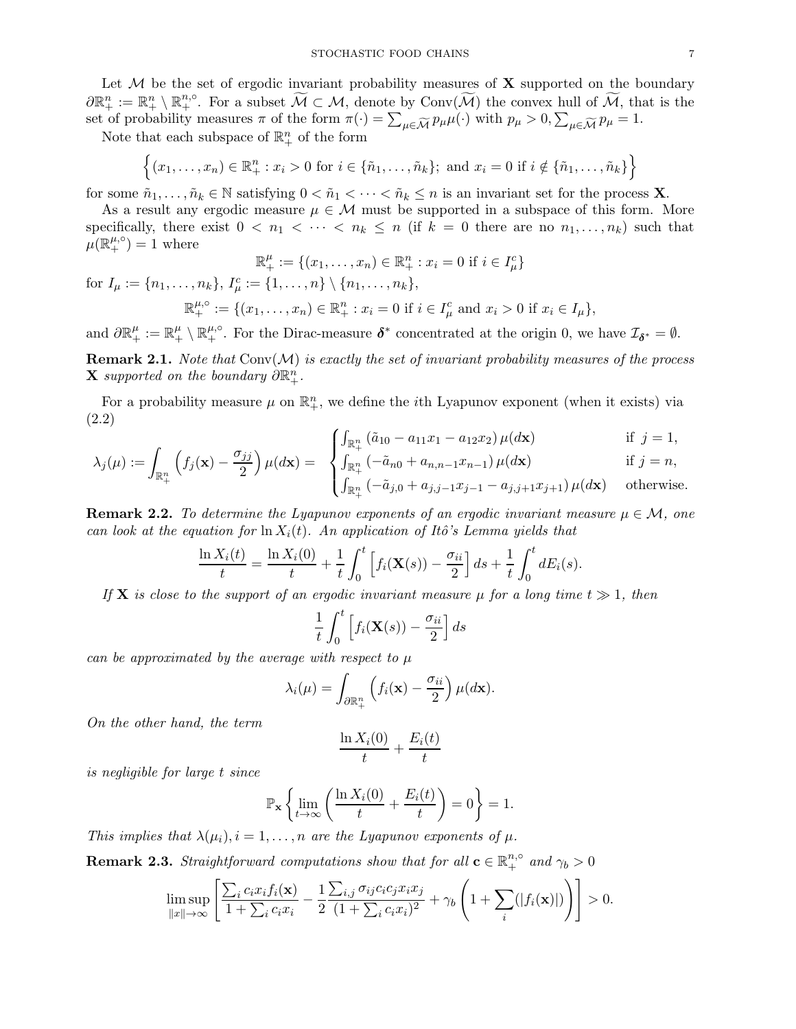Let  $M$  be the set of ergodic invariant probability measures of  $X$  supported on the boundary  $\partial \mathbb{R}^n_+ := \mathbb{R}^n_+ \setminus \mathbb{R}^{n,\circ}_+$ . For a subset  $\widetilde{\mathcal{M}} \subset \mathcal{M}$ , denote by Conv $(\widetilde{\mathcal{M}})$  the convex hull of  $\widetilde{\mathcal{M}}$ , that is the set of probability measures  $\pi$  of the form  $\pi(\cdot) = \sum_{\mu \in \widetilde{\mathcal{M}}} p_{\mu} \mu(\cdot)$  with  $p_{\mu} > 0$ ,  $\sum_{\mu \in \widetilde{\mathcal{M}}} p_{\mu} = 1$ .

Note that each subspace of  $\mathbb{R}^n_+$  of the form

$$
\{(x_1,\ldots,x_n)\in\mathbb{R}_+^n : x_i>0 \text{ for } i\in\{\tilde{n}_1,\ldots,\tilde{n}_k\}; \text{ and } x_i=0 \text{ if } i\notin\{\tilde{n}_1,\ldots,\tilde{n}_k\}\}
$$

for some  $\tilde{n}_1, \ldots, \tilde{n}_k \in \mathbb{N}$  satisfying  $0 < \tilde{n}_1 < \cdots < \tilde{n}_k \leq n$  is an invariant set for the process **X**.

As a result any ergodic measure  $\mu \in \mathcal{M}$  must be supported in a subspace of this form. More specifically, there exist  $0 < n_1 < \cdots < n_k \leq n$  (if  $k = 0$  there are no  $n_1, \ldots, n_k$ ) such that  $\mu(\mathbb{R}_{+}^{\mu,\circ})=1$  where <sup>+</sup> := {(x1, . . . , xn) ∈ R

$$
\mathbb{R}^{\mu}_{+} := \{(x_1, \dots, x_n) \in \mathbb{R}^n_{+} : x_i = 0 \text{ if } i \in I^c_{\mu}\}\
$$
  
for  $I_{\mu} := \{n_1, \dots, n_k\}, I^c_{\mu} := \{1, \dots, n\} \setminus \{n_1, \dots, n_k\},$   

$$
\mathbb{R}^{\mu, \circ}_{+} := \{(x_1, \dots, x_n) \in \mathbb{R}^n_{+} : x_i = 0 \text{ if } i \in I^c_{\mu} \text{ and } x_i > 0 \text{ if } x_i \in I_{\mu}\},
$$

and  $\partial \mathbb{R}^{\mu}_+ := \mathbb{R}^{\mu}_+ \setminus \mathbb{R}^{\mu,\circ}_+$ . For the Dirac-measure  $\delta^*$  concentrated at the origin 0, we have  $\mathcal{I}_{\delta^*} = \emptyset$ .

**Remark 2.1.** Note that  $Conv(M)$  is exactly the set of invariant probability measures of the process **X** supported on the boundary  $\partial \mathbb{R}^n_+$ .

For a probability measure  $\mu$  on  $\mathbb{R}^n_+$ , we define the *i*th Lyapunov exponent (when it exists) via (2.2)

$$
\int_{\mathbb{R}^n_+} \left( \tilde{a}_{10} - a_{11} x_1 - a_{12} x_2 \right) \mu(d\mathbf{x}) \n\qquad \text{if } j = 1,
$$
\n
$$
\int_{\mathbb{R}^n_+} \left( \tilde{a}_{10} + a_{11} x_1 - a_{12} x_2 \right) \mu(d\mathbf{x}) \n\qquad \text{if } j = n.
$$

<span id="page-6-0"></span>
$$
\lambda_j(\mu) := \int_{\mathbb{R}_+^n} \left( f_j(\mathbf{x}) - \frac{\sigma_{jj}}{2} \right) \mu(d\mathbf{x}) = \begin{cases} \int_{\mathbb{R}_+^n} (-\tilde{a}_{n0} + a_{n,n-1}x_{n-1}) \mu(d\mathbf{x}) & \text{if } j = n, \\ \int_{\mathbb{R}_+^n} (-\tilde{a}_{j,0} + a_{j,j-1}x_{j-1} - a_{j,j+1}x_{j+1}) \mu(d\mathbf{x}) & \text{otherwise.} \end{cases}
$$

**Remark 2.2.** To determine the Lyapunov exponents of an ergodic invariant measure  $\mu \in \mathcal{M}$ , one can look at the equation for  $\ln X_i(t)$ . An application of Itô's Lemma yields that

$$
\frac{\ln X_i(t)}{t} = \frac{\ln X_i(0)}{t} + \frac{1}{t} \int_0^t \left[ f_i(\mathbf{X}(s)) - \frac{\sigma_{ii}}{2} \right] ds + \frac{1}{t} \int_0^t dE_i(s).
$$

If **X** is close to the support of an ergodic invariant measure  $\mu$  for a long time  $t \gg 1$ , then

$$
\frac{1}{t} \int_0^t \left[ f_i(\mathbf{X}(s)) - \frac{\sigma_{ii}}{2} \right] ds
$$

can be approximated by the average with respect to  $\mu$ 

$$
\lambda_i(\mu) = \int_{\partial \mathbb{R}^n_+} \left( f_i(\mathbf{x}) - \frac{\sigma_{ii}}{2} \right) \mu(d\mathbf{x}).
$$

On the other hand, the term

$$
\frac{\ln X_i(0)}{t} + \frac{E_i(t)}{t}
$$

is negligible for large t since

$$
\mathbb{P}_{\mathbf{x}}\left\{\lim_{t\to\infty}\left(\frac{\ln X_i(0)}{t} + \frac{E_i(t)}{t}\right) = 0\right\} = 1.
$$

This implies that  $\lambda(\mu_i)$ ,  $i = 1, \ldots, n$  are the Lyapunov exponents of  $\mu$ .

**Remark 2.3.** Straightforward computations show that for all  $\mathbf{c} \in \mathbb{R}_{+}^{n,\circ}$  and  $\gamma_b > 0$ 

$$
\limsup_{\|x\|\to\infty}\left[\frac{\sum_{i}c_{i}x_{i}f_{i}(\mathbf{x})}{1+\sum_{i}c_{i}x_{i}}-\frac{1}{2}\frac{\sum_{i,j}\sigma_{ij}c_{i}c_{j}x_{i}x_{j}}{(1+\sum_{i}c_{i}x_{i})^{2}}+\gamma_{b}\left(1+\sum_{i}(|f_{i}(\mathbf{x})|)\right)\right]>0.
$$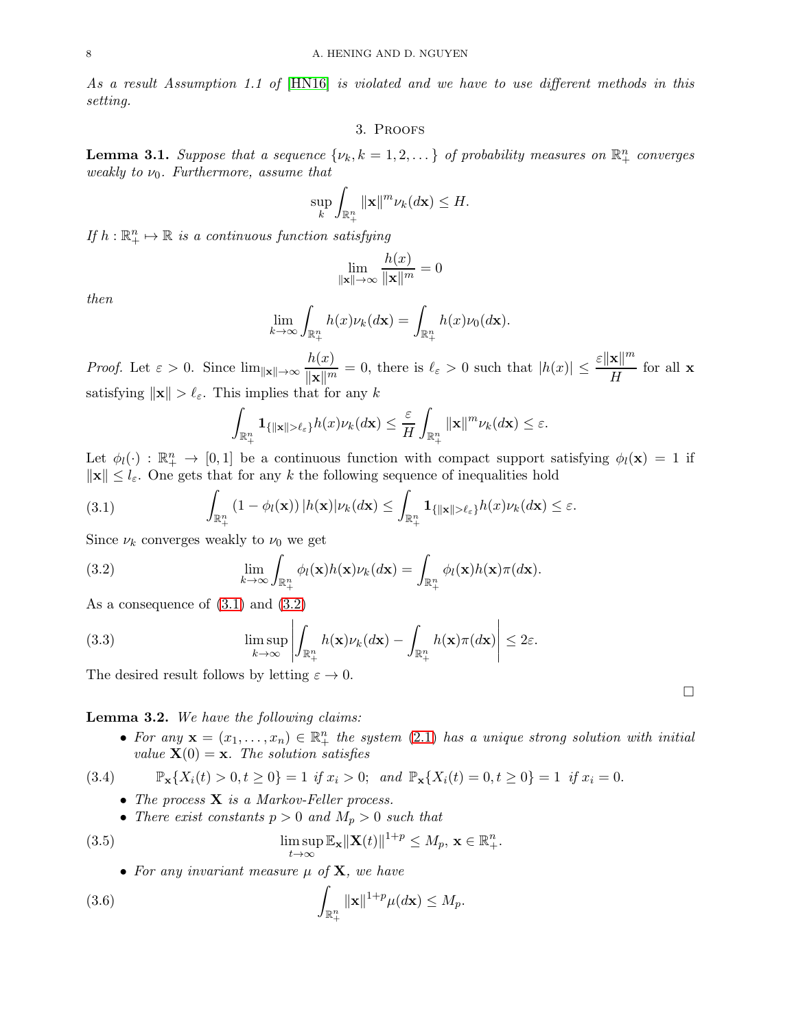<span id="page-7-0"></span>As a result Assumption 1.1 of [\[HN16\]](#page-20-11) is violated and we have to use different methods in this setting.

#### 3. Proofs

<span id="page-7-6"></span>**Lemma 3.1.** Suppose that a sequence  $\{\nu_k, k = 1, 2, ...\}$  of probability measures on  $\mathbb{R}^n_+$  converges weakly to  $\nu_0$ . Furthermore, assume that

$$
\sup_{k}\int_{\mathbb{R}^{n}_{+}}\|\mathbf{x}\|^{m}\nu_{k}(d\mathbf{x})\leq H.
$$

If  $h: \mathbb{R}^n_+ \mapsto \mathbb{R}$  is a continuous function satisfying

$$
\lim_{\|\mathbf{x}\| \to \infty} \frac{h(x)}{\|\mathbf{x}\|^m} = 0
$$

then

$$
\lim_{k \to \infty} \int_{\mathbb{R}^n_+} h(x) \nu_k(d\mathbf{x}) = \int_{\mathbb{R}^n_+} h(x) \nu_0(d\mathbf{x}).
$$

*Proof.* Let  $\varepsilon > 0$ . Since  $\lim_{\|\mathbf{x}\| \to \infty} \frac{h(x)}{\|\mathbf{x}\| \|}$  $\frac{h(x)}{\|\mathbf{x}\|^{m}} = 0$ , there is  $\ell_{\varepsilon} > 0$  such that  $|h(x)| \leq \frac{\varepsilon \|\mathbf{x}\|^{m}}{H}$  $\frac{R_{\parallel}}{H}$  for all **x** satisfying  $\|\mathbf{x}\| > \ell_{\varepsilon}$ . This implies that for any k

<span id="page-7-1"></span>
$$
\int_{\mathbb{R}^n_+} \mathbf{1}_{\{\|\mathbf{x}\| > \ell_\varepsilon\}} h(x) \nu_k(d\mathbf{x}) \leq \frac{\varepsilon}{H} \int_{\mathbb{R}^n_+} \|\mathbf{x}\|^{m} \nu_k(d\mathbf{x}) \leq \varepsilon.
$$

Let  $\phi_l(\cdot) : \mathbb{R}^n_+ \to [0,1]$  be a continuous function with compact support satisfying  $\phi_l(\mathbf{x}) = 1$  if  $\|\mathbf{x}\| \leq l_{\varepsilon}$ . One gets that for any k the following sequence of inequalities hold

(3.1) 
$$
\int_{\mathbb{R}^n_+} (1 - \phi_l(\mathbf{x})) |h(\mathbf{x})| \nu_k(d\mathbf{x}) \leq \int_{\mathbb{R}^n_+} \mathbf{1}_{\{\|\mathbf{x}\| > \ell_\varepsilon\}} h(x) \nu_k(d\mathbf{x}) \leq \varepsilon.
$$

Since  $\nu_k$  converges weakly to  $\nu_0$  we get

<span id="page-7-2"></span>(3.2) 
$$
\lim_{k \to \infty} \int_{\mathbb{R}^n_+} \phi_l(\mathbf{x}) h(\mathbf{x}) \nu_k(d\mathbf{x}) = \int_{\mathbb{R}^n_+} \phi_l(\mathbf{x}) h(\mathbf{x}) \pi(d\mathbf{x}).
$$

As a consequence of [\(3.1\)](#page-7-1) and [\(3.2\)](#page-7-2)

(3.3) 
$$
\limsup_{k\to\infty}\left|\int_{\mathbb{R}^n_+}h(\mathbf{x})\nu_k(d\mathbf{x})-\int_{\mathbb{R}^n_+}h(\mathbf{x})\pi(d\mathbf{x})\right|\leq 2\varepsilon.
$$

The desired result follows by letting  $\varepsilon \to 0$ .

<span id="page-7-7"></span>Lemma 3.2. We have the following claims:

• For any  $\mathbf{x} = (x_1, \ldots, x_n) \in \mathbb{R}_+^n$  the system [\(2.1\)](#page-5-1) has a unique strong solution with initial value  $\mathbf{X}(0) = \mathbf{x}$ . The solution satisfies

$$
(3.4) \qquad \mathbb{P}_{\mathbf{x}}\{X_i(t) > 0, t \ge 0\} = 1 \text{ if } x_i > 0; \text{ and } \mathbb{P}_{\mathbf{x}}\{X_i(t) = 0, t \ge 0\} = 1 \text{ if } x_i = 0.
$$

- <span id="page-7-3"></span>• The process  $X$  is a Markov-Feller process.
- There exist constants  $p > 0$  and  $M_p > 0$  such that

(3.5) 
$$
\limsup_{t \to \infty} \mathbb{E}_{\mathbf{x}} ||\mathbf{X}(t)||^{1+p} \le M_p, \, \mathbf{x} \in \mathbb{R}^n_+.
$$

<span id="page-7-5"></span><span id="page-7-4"></span>• For any invariant measure  $\mu$  of  $X$ , we have

(3.6) 
$$
\int_{\mathbb{R}^n_+} ||\mathbf{x}||^{1+p} \mu(d\mathbf{x}) \leq M_p.
$$

 $\Box$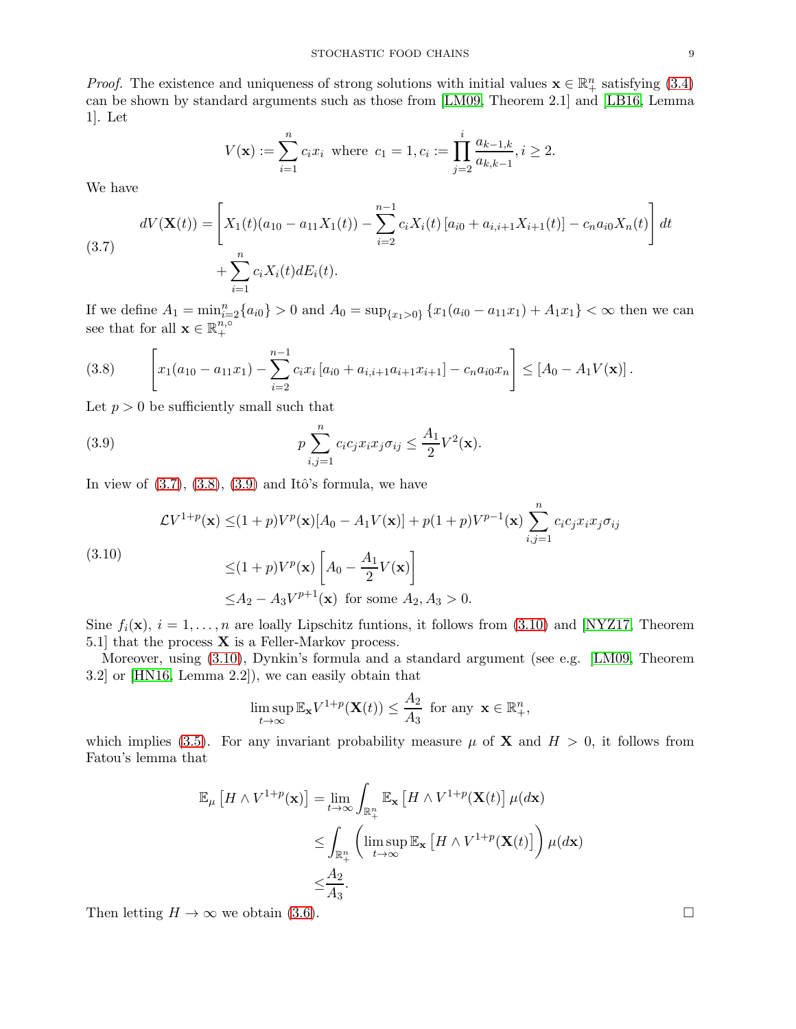*Proof.* The existence and uniqueness of strong solutions with initial values  $\mathbf{x} \in \mathbb{R}^n_+$  satisfying [\(3.4\)](#page-7-3) can be shown by standard arguments such as those from [\[LM09,](#page-20-20) Theorem 2.1] and [\[LB16,](#page-20-17) Lemma 1]. Let

$$
V(\mathbf{x}) := \sum_{i=1}^{n} c_i x_i \text{ where } c_1 = 1, c_i := \prod_{j=2}^{i} \frac{a_{k-1,k}}{a_{k,k-1}}, i \ge 2.
$$

We have

<span id="page-8-0"></span>(3.7) 
$$
dV(\mathbf{X}(t)) = \left[ X_1(t)(a_{10} - a_{11}X_1(t)) - \sum_{i=2}^{n-1} c_i X_i(t) [a_{i0} + a_{i,i+1}X_{i+1}(t)] - c_n a_{i0}X_n(t) \right] dt + \sum_{i=1}^n c_i X_i(t) dE_i(t).
$$

If we define  $A_1 = \min_{i=2}^n \{a_{i0}\} > 0$  and  $A_0 = \sup_{\{x_1 > 0\}} \{x_1(a_{i0} - a_{11}x_1) + A_1x_1\} < \infty$  then we can see that for all  $\mathbf{x} \in \mathbb{R}_{+}^{n,\circ}$ +

<span id="page-8-1"></span>
$$
(3.8) \qquad \left[ x_1(a_{10} - a_{11}x_1) - \sum_{i=2}^{n-1} c_i x_i \left[ a_{i0} + a_{i,i+1}a_{i+1}x_{i+1} \right] - c_n a_{i0}x_n \right] \leq \left[ A_0 - A_1 V(\mathbf{x}) \right].
$$

Let  $p > 0$  be sufficiently small such that

<span id="page-8-2"></span>(3.9) 
$$
p \sum_{i,j=1}^{n} c_i c_j x_i x_j \sigma_{ij} \leq \frac{A_1}{2} V^2(\mathbf{x}).
$$

In view of  $(3.7), (3.8), (3.9)$  $(3.7), (3.8), (3.9)$  $(3.7), (3.8), (3.9)$  $(3.7), (3.8), (3.9)$  and Itô's formula, we have

<span id="page-8-3"></span>
$$
\mathcal{L}V^{1+p}(\mathbf{x}) \leq (1+p)V^p(\mathbf{x})[A_0 - A_1V(\mathbf{x})] + p(1+p)V^{p-1}(\mathbf{x})\sum_{i,j=1}^n c_i c_j x_i x_j \sigma_{ij}
$$
  
(3.10)  

$$
\leq (1+p)V^p(\mathbf{x})\left[A_0 - \frac{A_1}{2}V(\mathbf{x})\right]
$$

$$
\leq A_2 - A_3V^{p+1}(\mathbf{x}) \text{ for some } A_2, A_3 > 0.
$$

Sine  $f_i(\mathbf{x}), i = 1, \ldots, n$  are loally Lipschitz funtions, it follows from [\(3.10\)](#page-8-3) and [\[NYZ17,](#page-20-21) Theorem 5.1] that the process  $X$  is a Feller-Markov process.

Moreover, using [\(3.10\)](#page-8-3), Dynkin's formula and a standard argument (see e.g. [\[LM09,](#page-20-20) Theorem 3.2] or [\[HN16,](#page-20-11) Lemma 2.2]), we can easily obtain that

$$
\limsup_{t \to \infty} \mathbb{E}_{\mathbf{x}} V^{1+p}(\mathbf{X}(t)) \le \frac{A_2}{A_3} \text{ for any } \mathbf{x} \in \mathbb{R}_+^n,
$$

which implies [\(3.5\)](#page-7-4). For any invariant probability measure  $\mu$  of **X** and  $H > 0$ , it follows from Fatou's lemma that

$$
\mathbb{E}_{\mu}\left[H \wedge V^{1+p}(\mathbf{x})\right] = \lim_{t \to \infty} \int_{\mathbb{R}_{+}^{n}} \mathbb{E}_{\mathbf{x}}\left[H \wedge V^{1+p}(\mathbf{X}(t))\right] \mu(d\mathbf{x})
$$
  
\n
$$
\leq \int_{\mathbb{R}_{+}^{n}} \left(\limsup_{t \to \infty} \mathbb{E}_{\mathbf{x}}\left[H \wedge V^{1+p}(\mathbf{X}(t))\right]\right) \mu(d\mathbf{x})
$$
  
\n
$$
\leq \frac{A_{2}}{A_{3}}.
$$

Then letting  $H \to \infty$  we obtain [\(3.6\)](#page-7-5).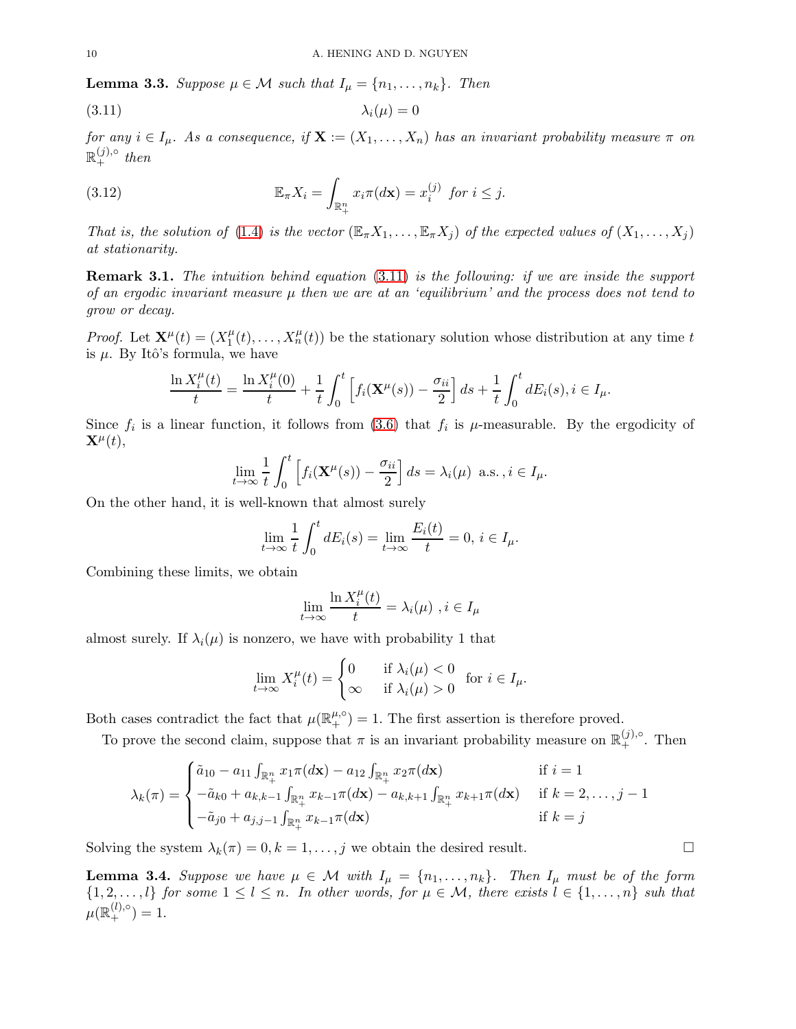<span id="page-9-1"></span>**Lemma 3.3.** Suppose  $\mu \in \mathcal{M}$  such that  $I_{\mu} = \{n_1, \ldots, n_k\}$ . Then

<span id="page-9-0"></span>
$$
\lambda_i(\mu) = 0
$$

for any  $i \in I_\mu$ . As a consequence, if  $\mathbf{X} := (X_1, \ldots, X_n)$  has an invariant probability measure  $\pi$  on  $\mathbb{R}^{(j),\circ}_+$  then

<span id="page-9-3"></span>(3.12) 
$$
\mathbb{E}_{\pi}X_i = \int_{\mathbb{R}^n_+} x_i \pi(d\mathbf{x}) = x_i^{(j)} \text{ for } i \leq j.
$$

That is, the solution of [\(1.4\)](#page-2-1) is the vector  $(\mathbb{E}_{\pi}X_1,\ldots,\mathbb{E}_{\pi}X_i)$  of the expected values of  $(X_1,\ldots,X_i)$ at stationarity.

Remark 3.1. The intuition behind equation [\(3.11\)](#page-9-0) is the following: if we are inside the support of an ergodic invariant measure  $\mu$  then we are at an 'equilibrium' and the process does not tend to grow or decay.

*Proof.* Let  $\mathbf{X}^{\mu}(t) = (X_1^{\mu})$  $T_1^{\mu}(t), \ldots, X_n^{\mu}(t)$  be the stationary solution whose distribution at any time t is  $\mu$ . By Itô's formula, we have

$$
\frac{\ln X_i^{\mu}(t)}{t} = \frac{\ln X_i^{\mu}(0)}{t} + \frac{1}{t} \int_0^t \left[ f_i(\mathbf{X}^{\mu}(s)) - \frac{\sigma_{ii}}{2} \right] ds + \frac{1}{t} \int_0^t dE_i(s), i \in I_{\mu}.
$$

Since  $f_i$  is a linear function, it follows from [\(3.6\)](#page-7-5) that  $f_i$  is  $\mu$ -measurable. By the ergodicity of  $\mathbf{X}^{\mu}(t),$ 

$$
\lim_{t \to \infty} \frac{1}{t} \int_0^t \left[ f_i(\mathbf{X}^\mu(s)) - \frac{\sigma_{ii}}{2} \right] ds = \lambda_i(\mu) \text{ a.s.}, i \in I_\mu.
$$

On the other hand, it is well-known that almost surely

$$
\lim_{t \to \infty} \frac{1}{t} \int_0^t dE_i(s) = \lim_{t \to \infty} \frac{E_i(t)}{t} = 0, i \in I_\mu.
$$

Combining these limits, we obtain

$$
\lim_{t \to \infty} \frac{\ln X_i^{\mu}(t)}{t} = \lambda_i(\mu) , i \in I_\mu
$$

almost surely. If  $\lambda_i(\mu)$  is nonzero, we have with probability 1 that

$$
\lim_{t \to \infty} X_i^{\mu}(t) = \begin{cases} 0 & \text{if } \lambda_i(\mu) < 0 \\ \infty & \text{if } \lambda_i(\mu) > 0 \end{cases}
$$
 for  $i \in I_{\mu}$ .

Both cases contradict the fact that  $\mu(\mathbb{R}^{\mu,\circ}_{+})=1$ . The first assertion is therefore proved.

To prove the second claim, suppose that  $\pi$  is an invariant probability measure on  $\mathbb{R}^{(j),\circ}_{+}$ . Then

$$
\lambda_k(\pi) = \begin{cases} \tilde{a}_{10} - a_{11} \int_{\mathbb{R}^n_+} x_1 \pi(d\mathbf{x}) - a_{12} \int_{\mathbb{R}^n_+} x_2 \pi(d\mathbf{x}) & \text{if } i = 1 \\ -\tilde{a}_{k0} + a_{k,k-1} \int_{\mathbb{R}^n_+} x_{k-1} \pi(d\mathbf{x}) - a_{k,k+1} \int_{\mathbb{R}^n_+} x_{k+1} \pi(d\mathbf{x}) & \text{if } k = 2, \dots, j-1 \\ -\tilde{a}_{j0} + a_{j,j-1} \int_{\mathbb{R}^n_+} x_{k-1} \pi(d\mathbf{x}) & \text{if } k = j \end{cases}
$$

Solving the system  $\lambda_k(\pi) = 0, k = 1, \ldots, j$  we obtain the desired result.

<span id="page-9-2"></span>**Lemma 3.4.** Suppose we have  $\mu \in \mathcal{M}$  with  $I_{\mu} = \{n_1, \ldots, n_k\}$ . Then  $I_{\mu}$  must be of the form  $\{1, 2, \ldots, l\}$  for some  $1 \leq l \leq n$ . In other words, for  $\mu \in \mathcal{M}$ , there exists  $l \in \{1, \ldots, n\}$  suh that  $\mu(\mathbb{R}^{(l),\circ}_+) = 1.$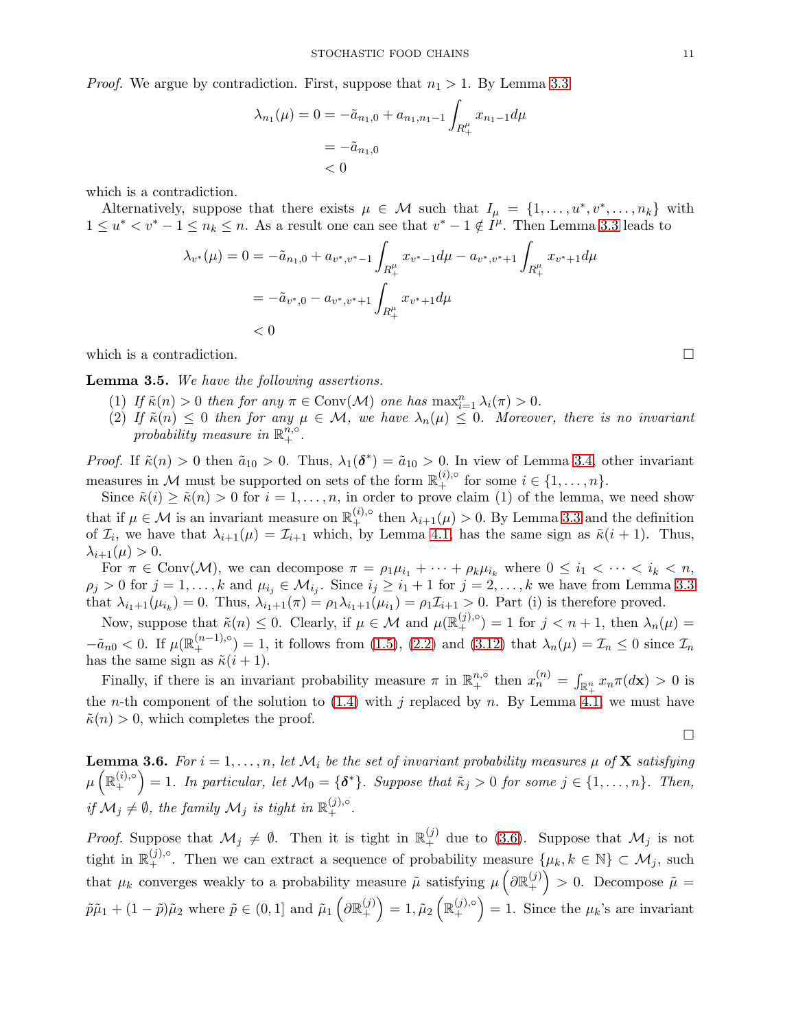*Proof.* We argue by contradiction. First, suppose that  $n_1 > 1$ . By Lemma [3.3](#page-9-1)

$$
\lambda_{n_1}(\mu) = 0 = -\tilde{a}_{n_1,0} + a_{n_1,n_1-1} \int_{R_+^{\mu}} x_{n_1-1} d\mu
$$
  
= -\tilde{a}\_{n\_1,0}  
< 0

which is a contradiction.

Alternatively, suppose that there exists  $\mu \in \mathcal{M}$  such that  $I_{\mu} = \{1, \ldots, u^*, v^*, \ldots, n_k\}$  with  $1 \le u^* < v^* - 1 \le n_k \le n$ . As a result one can see that  $v^* - 1 \notin I^{\mu}$ . Then Lemma [3.3](#page-9-1) leads to

$$
\lambda_{v^*}(\mu) = 0 = -\tilde{a}_{n_1,0} + a_{v^*,v^*-1} \int_{R_+^{\mu}} x_{v^*-1} d\mu - a_{v^*,v^*+1} \int_{R_+^{\mu}} x_{v^*+1} d\mu
$$
  
=  $-\tilde{a}_{v^*,0} - a_{v^*,v^*+1} \int_{R_+^{\mu}} x_{v^*+1} d\mu$   
< 0

which is a contradiction.

<span id="page-10-0"></span>Lemma 3.5. We have the following assertions.

- (1) If  $\tilde{\kappa}(n) > 0$  then for any  $\pi \in Conv(\mathcal{M})$  one has  $\max_{i=1}^n \lambda_i(\pi) > 0$ .
- (2) If  $\tilde{\kappa}(n) \leq 0$  then for any  $\mu \in \mathcal{M}$ , we have  $\lambda_n(\mu) \leq 0$ . Moreover, there is no invariant probability measure in  $\mathbb{R}^{\tilde{n},\circ}_{+}$ .

*Proof.* If  $\tilde{\kappa}(n) > 0$  then  $\tilde{a}_{10} > 0$ . Thus,  $\lambda_1(\boldsymbol{\delta}^*) = \tilde{a}_{10} > 0$ . In view of Lemma [3.4,](#page-9-2) other invariant measures in M must be supported on sets of the form  $\mathbb{R}^{(i),\circ}_+$  for some  $i \in \{1,\ldots,n\}$ .

Since  $\tilde{\kappa}(i) \geq \tilde{\kappa}(n) > 0$  for  $i = 1, \ldots, n$ , in order to prove claim (1) of the lemma, we need show that if  $\mu \in \mathcal{M}$  is an invariant measure on  $\mathbb{R}^{(i),\circ}_+$  then  $\lambda_{i+1}(\mu) > 0$ . By Lemma [3.3](#page-9-1) and the definition of  $\mathcal{I}_i$ , we have that  $\lambda_{i+1}(\mu) = \mathcal{I}_{i+1}$  which, by Lemma [4.1,](#page-16-0) has the same sign as  $\tilde{\kappa}(i+1)$ . Thus,  $\lambda_{i+1}(\mu) > 0.$ 

For  $\pi \in Conv(\mathcal{M})$ , we can decompose  $\pi = \rho_1 \mu_{i_1} + \cdots + \rho_k \mu_{i_k}$  where  $0 \leq i_1 < \cdots < i_k < n$ ,  $\rho_j > 0$  for  $j = 1, \ldots, k$  and  $\mu_{i_j} \in \mathcal{M}_{i_j}$ . Since  $i_j \geq i_1 + 1$  for  $j = 2, \ldots, k$  we have from Lemma [3.3](#page-9-1) that  $\lambda_{i_1+1}(\mu_{i_k})=0$ . Thus,  $\lambda_{i_1+1}(\pi)=\rho_1\lambda_{i_1+1}(\mu_{i_1})=\rho_1\mathcal{I}_{i+1}>0$ . Part (i) is therefore proved.

Now, suppose that  $\tilde{\kappa}(n) \leq 0$ . Clearly, if  $\mu \in \mathcal{M}$  and  $\mu(\mathbb{R}^{(j),\circ}_{+}) = 1$  for  $j < n+1$ , then  $\lambda_n(\mu) =$  $-\tilde{a}_{n0} < 0$ . If  $\mu(\mathbb{R}^{(n-1),\circ}_{+}) = 1$ , it follows from  $(1.5)$ ,  $(2.2)$  and  $(3.12)$  that  $\lambda_n(\mu) = \mathcal{I}_n \leq 0$  since  $\mathcal{I}_n$ has the same sign as  $\tilde{\kappa}(i+1)$ .

Finally, if there is an invariant probability measure  $\pi$  in  $\mathbb{R}^{n,\circ}_+$  then  $x_n^{(n)} = \int_{\mathbb{R}^n_+} x_n \pi(dx) > 0$  is the *n*-th component of the solution to [\(1.4\)](#page-2-1) with j replaced by n. By Lemma [4.1,](#page-16-0) we must have  $\tilde{\kappa}(n) > 0$ , which completes the proof.

<span id="page-10-1"></span>**Lemma 3.6.** For  $i = 1, ..., n$ , let  $\mathcal{M}_i$  be the set of invariant probability measures  $\mu$  of **X** satisfying  $\mu\left(\mathbb{R}_{+}^{(i),\circ}\right)$ +  $= 1.$  In particular, let  $\mathcal{M}_0 = \{\delta^*\}.$  Suppose that  $\tilde{\kappa}_j > 0$  for some  $j \in \{1, \ldots, n\}.$  Then, if  $\mathcal{M}_j \neq \emptyset$ , the family  $\mathcal{M}_j$  is tight in  $\mathbb{R}_+^{(j),\circ}$ .

*Proof.* Suppose that  $\mathcal{M}_j \neq \emptyset$ . Then it is tight in  $\mathbb{R}_+^{(j)}$  due to [\(3.6\)](#page-7-5). Suppose that  $\mathcal{M}_j$  is not tight in  $\mathbb{R}^{(j),\circ}_{+}$ . Then we can extract a sequence of probability measure  $\{\mu_k, k \in \mathbb{N}\}\subset \mathcal{M}_j$ , such that  $\mu_k$  converges weakly to a probability measure  $\tilde{\mu}$  satisfying  $\mu\left(\partial \mathbb{R}^{(j)}_+\right)$ +  $\mathcal{L} > 0$ . Decompose  $\mathcal{\tilde{\mu}} =$  $\tilde{p}\tilde{\mu}_1 + (1-\tilde{p})\tilde{\mu}_2 \text{ where } \tilde{p} \in (0,1] \text{ and } \tilde{\mu}_1\left(\partial \mathbb{R}^{(j)}_+\right)$ +  $= 1, \tilde{\mu}_2 \left( \mathbb{R}^{(j),\circ}_+ \right)$ + = 1. Since the  $\mu_k$ 's are invariant

 $\Box$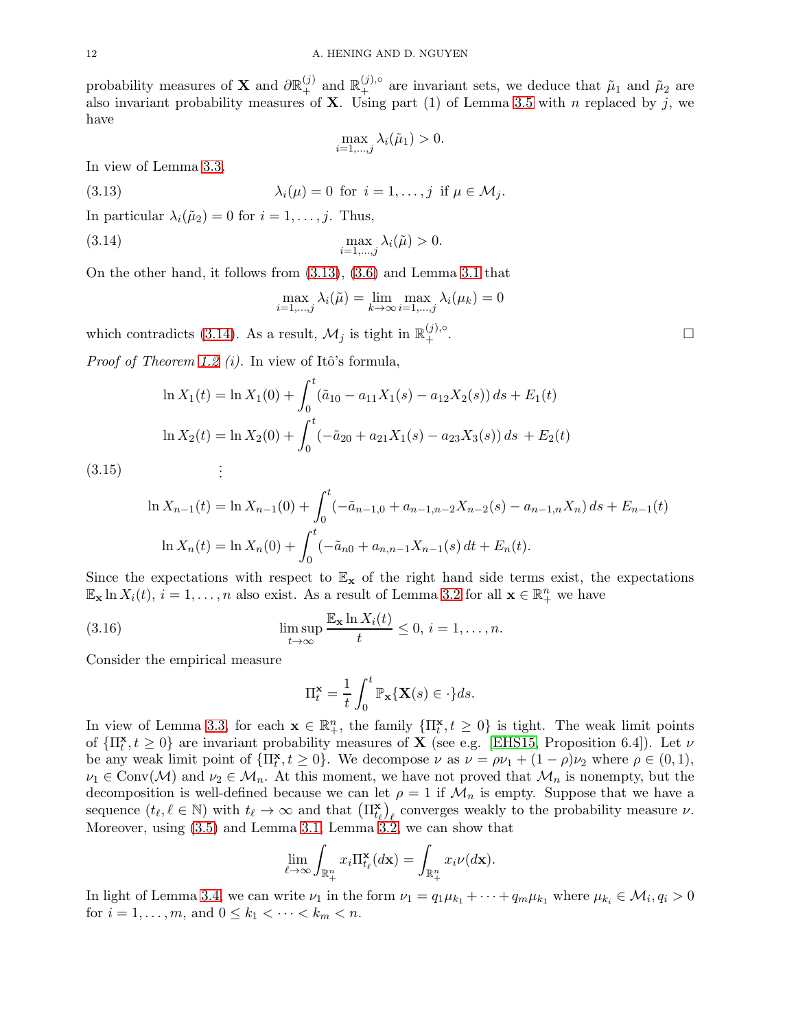probability measures of **X** and  $\partial \mathbb{R}^{(j)}_+$  and  $\mathbb{R}^{(j),\circ}_+$  are invariant sets, we deduce that  $\tilde{\mu}_1$  and  $\tilde{\mu}_2$  are also invariant probability measures of **X**. Using part (1) of Lemma [3.5](#page-10-0) with n replaced by j, we have

<span id="page-11-0"></span>
$$
\max_{i=1,\dots,j} \lambda_i(\tilde{\mu}_1) > 0.
$$

In view of Lemma [3.3,](#page-9-1)

(3.13) 
$$
\lambda_i(\mu) = 0 \text{ for } i = 1, \dots, j \text{ if } \mu \in \mathcal{M}_j.
$$

In particular  $\lambda_i(\tilde{\mu}_2) = 0$  for  $i = 1, \ldots, j$ . Thus,

(3.14) 
$$
\max_{i=1,\dots,j}\lambda_i(\tilde{\mu})>0.
$$

On the other hand, it follows from [\(3.13\)](#page-11-0), [\(3.6\)](#page-7-5) and Lemma [3.1](#page-7-6) that

<span id="page-11-1"></span>
$$
\max_{i=1,\dots,j} \lambda_i(\tilde{\mu}) = \lim_{k \to \infty} \max_{i=1,\dots,j} \lambda_i(\mu_k) = 0
$$

which contradicts [\(3.14\)](#page-11-1). As a result,  $\mathcal{M}_j$  is tight in  $\mathbb{R}^{(j),\circ}_+$  $^{(j),\circ}$   $\Box$ 

*Proof of Theorem [1.2](#page-4-0) (i).* In view of Itô's formula,

$$
\ln X_1(t) = \ln X_1(0) + \int_0^t (\tilde{a}_{10} - a_{11}X_1(s) - a_{12}X_2(s)) ds + E_1(t)
$$
  

$$
\ln X_2(t) = \ln X_2(0) + \int_0^t (-\tilde{a}_{20} + a_{21}X_1(s) - a_{23}X_3(s)) ds + E_2(t)
$$
  
:

(3.15)

$$
\ln X_{n-1}(t) = \ln X_{n-1}(0) + \int_0^t (-\tilde{a}_{n-1,0} + a_{n-1,n-2}X_{n-2}(s) - a_{n-1,n}X_n) ds + E_{n-1}(t)
$$
  

$$
\ln X_n(t) = \ln X_n(0) + \int_0^t (-\tilde{a}_{n0} + a_{n,n-1}X_{n-1}(s) dt + E_n(t).
$$

Since the expectations with respect to  $\mathbb{E}_{\mathbf{x}}$  of the right hand side terms exist, the expectations  $\mathbb{E}_{\mathbf{x}} \ln X_i(t), i = 1, \ldots, n$  also exist. As a result of Lemma [3.2](#page-7-7) for all  $\mathbf{x} \in \mathbb{R}_+^n$  we have

(3.16) 
$$
\limsup_{t \to \infty} \frac{\mathbb{E}_{\mathbf{x}} \ln X_i(t)}{t} \leq 0, i = 1, ..., n.
$$

Consider the empirical measure

<span id="page-11-2"></span>
$$
\Pi_t^{\mathbf{x}} = \frac{1}{t} \int_0^t \mathbb{P}_{\mathbf{x}} \{ \mathbf{X}(s) \in \cdot \} ds.
$$

In view of Lemma [3.3,](#page-9-1) for each  $\mathbf{x} \in \mathbb{R}_+^n$ , the family  $\{\Pi_t^{\mathbf{x}}, t \geq 0\}$  is tight. The weak limit points of  $\{\Pi_t^{\mathbf{x}}, t \geq 0\}$  are invariant probability measures of  $\mathbf{X}$  (see e.g. [\[EHS15,](#page-19-3) Proposition 6.4]). Let  $\nu$ be any weak limit point of  $\{\Pi_t^{\mathbf{x}}, t \geq 0\}$ . We decompose  $\nu$  as  $\nu = \rho \nu_1 + (1 - \rho) \nu_2$  where  $\rho \in (0, 1)$ ,  $\nu_1 \in \text{Conv}(\mathcal{M})$  and  $\nu_2 \in \mathcal{M}_n$ . At this moment, we have not proved that  $\mathcal{M}_n$  is nonempty, but the decomposition is well-defined because we can let  $\rho = 1$  if  $\mathcal{M}_n$  is empty. Suppose that we have a sequence  $(t_{\ell}, \ell \in \mathbb{N})$  with  $t_{\ell} \to \infty$  and that  $(\Pi_{t_{\ell}}^{\mathbf{x}})_{\ell}$  converges weakly to the probability measure  $\nu$ . Moreover, using [\(3.5\)](#page-7-4) and Lemma [3.1,](#page-7-6) Lemma [3.2,](#page-7-7) we can show that

$$
\lim_{\ell \to \infty} \int_{\mathbb{R}^n_+} x_i \Pi_{t_\ell}^{\mathbf{x}}(d\mathbf{x}) = \int_{\mathbb{R}^n_+} x_i \nu(d\mathbf{x}).
$$

In light of Lemma [3.4,](#page-9-2) we can write  $\nu_1$  in the form  $\nu_1 = q_1 \mu_{k_1} + \cdots + q_m \mu_{k_1}$  where  $\mu_{k_i} \in M_i$ ,  $q_i > 0$ for  $i = 1, ..., m$ , and  $0 \le k_1 < \cdots < k_m < n$ .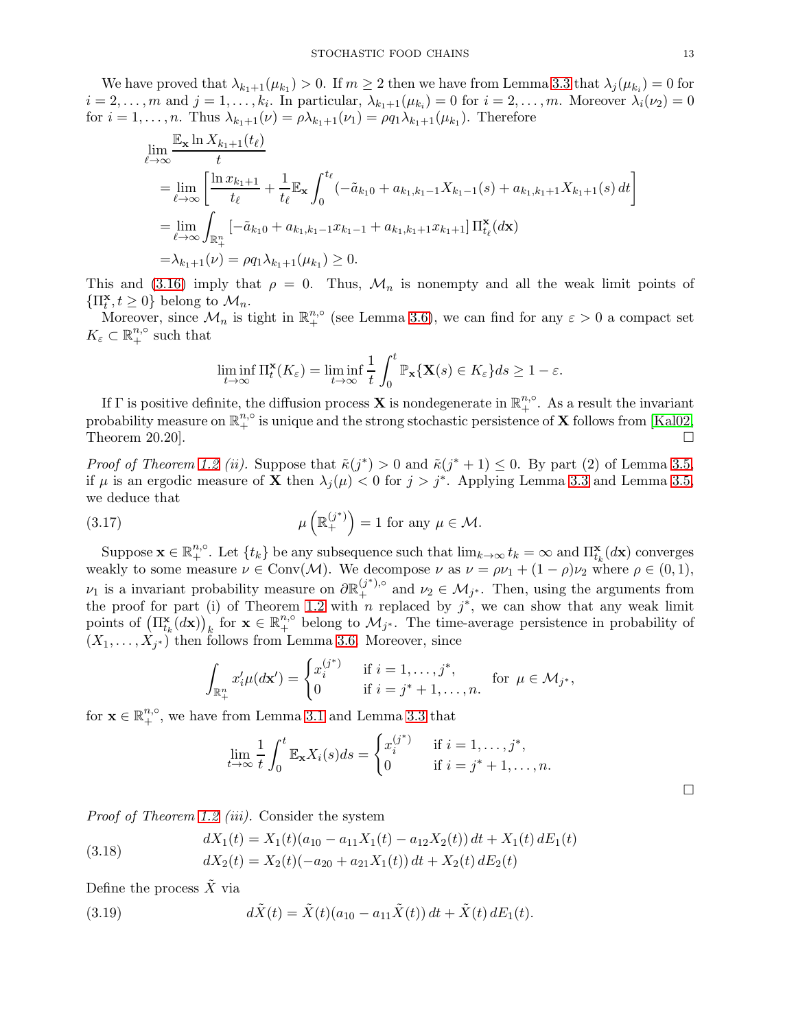We have proved that  $\lambda_{k_1+1}(\mu_{k_1})>0$ . If  $m\geq 2$  then we have from Lemma [3.3](#page-9-1) that  $\lambda_j(\mu_{k_i})=0$  for  $i = 2, \ldots, m$  and  $j = 1, \ldots, k_i$ . In particular,  $\lambda_{k_1+1}(\mu_{k_i}) = 0$  for  $i = 2, \ldots, m$ . Moreover  $\lambda_i(\nu_2) = 0$ for  $i = 1, \ldots, n$ . Thus  $\lambda_{k_1+1}(\nu) = \rho \lambda_{k_1+1}(\nu_1) = \rho q_1 \lambda_{k_1+1}(\mu_{k_1})$ . Therefore

$$
\lim_{\ell \to \infty} \frac{\mathbb{E}_{\mathbf{x}} \ln X_{k_1+1}(t_\ell)}{t}
$$
\n
$$
= \lim_{\ell \to \infty} \left[ \frac{\ln x_{k_1+1}}{t_\ell} + \frac{1}{t_\ell} \mathbb{E}_{\mathbf{x}} \int_0^{t_\ell} \left( -\tilde{a}_{k_1 0} + a_{k_1, k_1-1} X_{k_1-1}(s) + a_{k_1, k_1+1} X_{k_1+1}(s) \right) dt \right]
$$
\n
$$
= \lim_{\ell \to \infty} \int_{\mathbb{R}^n_+} \left[ -\tilde{a}_{k_1 0} + a_{k_1, k_1-1} x_{k_1-1} + a_{k_1, k_1+1} x_{k_1+1} \right] \Pi_{t_\ell}^{\mathbf{x}}(d\mathbf{x})
$$
\n
$$
= \lambda_{k_1+1}(\nu) = \rho q_1 \lambda_{k_1+1}(\mu_{k_1}) \ge 0.
$$

This and [\(3.16\)](#page-11-2) imply that  $\rho = 0$ . Thus,  $\mathcal{M}_n$  is nonempty and all the weak limit points of  $\{\Pi_t^{\mathbf{x}}, t \geq 0\}$  belong to  $\mathcal{M}_n$ .

Moreover, since  $\mathcal{M}_n$  is tight in  $\mathbb{R}^{n,\circ}_+$  (see Lemma [3.6\)](#page-10-1), we can find for any  $\varepsilon > 0$  a compact set  $K_{\varepsilon} \subset \mathbb{R}^{n,\circ}_+$  such that

$$
\liminf_{t \to \infty} \Pi_t^{\mathbf{x}}(K_{\varepsilon}) = \liminf_{t \to \infty} \frac{1}{t} \int_0^t \mathbb{P}_{\mathbf{x}}\{\mathbf{X}(s) \in K_{\varepsilon}\} ds \ge 1 - \varepsilon.
$$

If  $\Gamma$  is positive definite, the diffusion process **X** is nondegenerate in  $\mathbb{R}^{n,\circ}_+$ . As a result the invariant probability measure on  $\mathbb{R}^{n,\circ}_+$  is unique and the strong stochastic persistence of  $\bf X$  follows from [\[Kal02,](#page-20-22) Theorem 20.20].

*Proof of Theorem [1.2](#page-4-0) (ii).* Suppose that  $\tilde{\kappa}(j^*) > 0$  and  $\tilde{\kappa}(j^* + 1) \leq 0$ . By part (2) of Lemma [3.5,](#page-10-0) if  $\mu$  is an ergodic measure of **X** then  $\lambda_j(\mu) < 0$  for  $j > j^*$ . Applying Lemma [3.3](#page-9-1) and Lemma [3.5,](#page-10-0) we deduce that

(3.17) 
$$
\mu\left(\mathbb{R}^{(j^*)}_+\right) = 1 \text{ for any } \mu \in \mathcal{M}.
$$

Suppose  $\mathbf{x} \in \mathbb{R}^{n,\circ}_{+}$ . Let  $\{t_k\}$  be any subsequence such that  $\lim_{k\to\infty} t_k = \infty$  and  $\Pi^{\mathbf{x}}_{t_k}(d\mathbf{x})$  converges weakly to some measure  $\nu \in Conv(\mathcal{M})$ . We decompose  $\nu$  as  $\nu = \rho \nu_1 + (1 - \rho) \nu_2$  where  $\rho \in (0, 1)$ ,  $\nu_1$  is a invariant probability measure on  $\partial \mathbb{R}^{(j^*)\circ}_+$  and  $\nu_2 \in \mathcal{M}_{j^*}$ . Then, using the arguments from the proof for part (i) of Theorem [1.2](#page-4-0) with n replaced by  $j^*$ , we can show that any weak limit points of  $(\Pi_{t_k}^{\mathbf{x}}(d\mathbf{x}))_k$  for  $\mathbf{x} \in \mathbb{R}^{n,\circ}_{+}$  belong to  $\mathcal{M}_{j^*}$ . The time-average persistence in probability of  $(X_1, \ldots, X_{j^*})$  then follows from Lemma [3.6.](#page-10-1) Moreover, since

$$
\int_{\mathbb{R}^n_+} x'_i \mu(d\mathbf{x}') = \begin{cases} x_i^{(j^*)} & \text{if } i = 1, \dots, j^*, \\ 0 & \text{if } i = j^* + 1, \dots, n. \end{cases}
$$
 for  $\mu \in \mathcal{M}_{j^*}$ ,

for  $\mathbf{x} \in \mathbb{R}^{n,\circ}_+$ , we have from Lemma [3.1](#page-7-6) and Lemma [3.3](#page-9-1) that

$$
\lim_{t \to \infty} \frac{1}{t} \int_0^t \mathbb{E}_\mathbf{x} X_i(s) ds = \begin{cases} x_i^{(j^*)} & \text{if } i = 1, \dots, j^*, \\ 0 & \text{if } i = j^* + 1, \dots, n. \end{cases}
$$

Proof of Theorem [1.2](#page-4-0) (iii). Consider the system

(3.18) 
$$
dX_1(t) = X_1(t)(a_{10} - a_{11}X_1(t) - a_{12}X_2(t)) dt + X_1(t) dE_1(t)
$$

$$
dX_2(t) = X_2(t)(-a_{20} + a_{21}X_1(t)) dt + X_2(t) dE_2(t)
$$

Define the process  $\tilde{X}$  via

(3.19) 
$$
d\tilde{X}(t) = \tilde{X}(t)(a_{10} - a_{11}\tilde{X}(t)) dt + \tilde{X}(t) dE_1(t).
$$

 $\Box$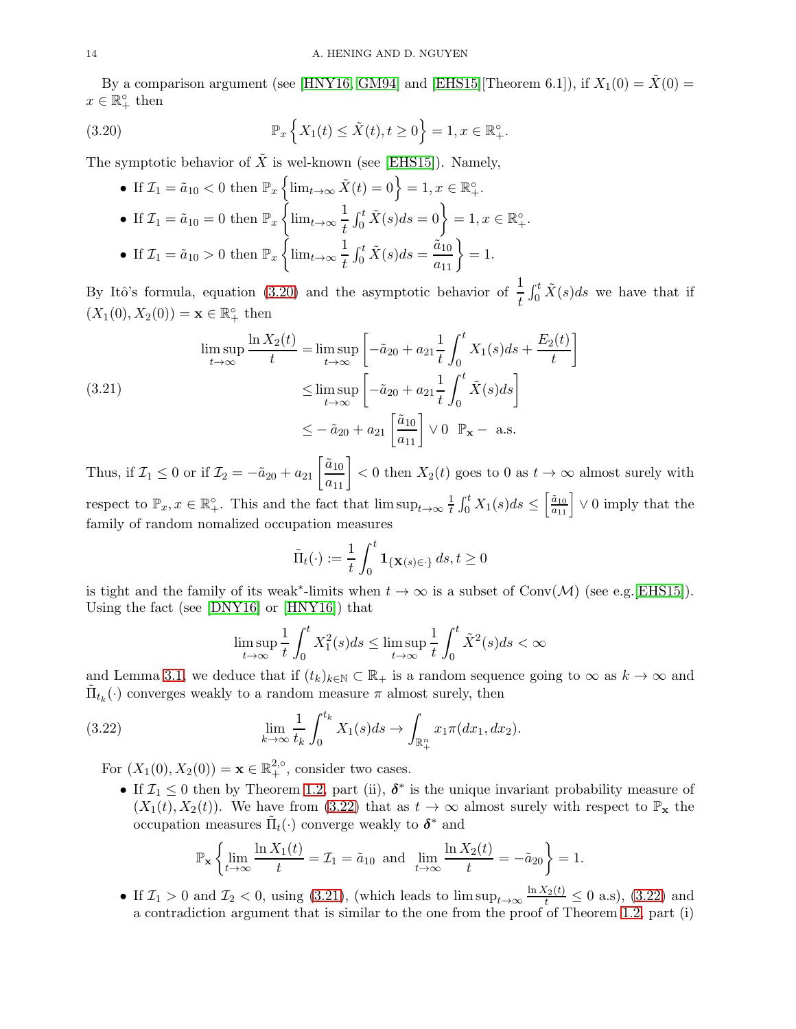By a comparison argument (see [\[HNY16,](#page-20-14) [GM94\]](#page-20-23) and [\[EHS15\]](#page-19-3)[Theorem 6.1]), if  $X_1(0) = \tilde{X}(0) =$  $x \in \mathbb{R}_+^{\circ}$  then

(3.20) 
$$
\mathbb{P}_x\left\{X_1(t) \le \tilde{X}(t), t \ge 0\right\} = 1, x \in \mathbb{R}^{\circ}_+.
$$

The symptotic behavior of  $\tilde{X}$  is wel-known (see [\[EHS15\]](#page-19-3)). Namely,

<span id="page-13-0"></span>\n- \n If 
$$
\mathcal{I}_1 = \tilde{a}_{10} < 0
$$
 then  $\mathbb{P}_x \left\{ \lim_{t \to \infty} \tilde{X}(t) = 0 \right\} = 1, x \in \mathbb{R}^\circ_+$ .\n
\n- \n If  $\mathcal{I}_1 = \tilde{a}_{10} = 0$  then  $\mathbb{P}_x \left\{ \lim_{t \to \infty} \frac{1}{t} \int_0^t \tilde{X}(s) ds = 0 \right\} = 1, x \in \mathbb{R}^\circ_+$ .\n
\n- \n If  $\mathcal{I}_1 = \tilde{a}_{10} > 0$  then  $\mathbb{P}_x \left\{ \lim_{t \to \infty} \frac{1}{t} \int_0^t \tilde{X}(s) ds = \frac{\tilde{a}_{10}}{a_{11}} \right\} = 1$ .\n
\n

By Itô's formula, equation [\(3.20\)](#page-13-0) and the asymptotic behavior of  $\frac{1}{t}$  $\int_0^t \tilde{X}(s)ds$  we have that if  $(X_1(0), X_2(0)) = \mathbf{x} \in \mathbb{R}_+^{\circ}$  then

<span id="page-13-2"></span>(3.21) 
$$
\limsup_{t \to \infty} \frac{\ln X_2(t)}{t} = \limsup_{t \to \infty} \left[ -\tilde{a}_{20} + a_{21} \frac{1}{t} \int_0^t X_1(s) ds + \frac{E_2(t)}{t} \right]
$$

$$
\leq \limsup_{t \to \infty} \left[ -\tilde{a}_{20} + a_{21} \frac{1}{t} \int_0^t \tilde{X}(s) ds \right]
$$

$$
\leq -\tilde{a}_{20} + a_{21} \left[ \frac{\tilde{a}_{10}}{a_{11}} \right] \vee 0 \quad \mathbb{P}_{\mathbf{x}} - \text{ a.s.}
$$

Thus, if  $\mathcal{I}_1 \leq 0$  or if  $\mathcal{I}_2 = -\tilde{a}_{20} + a_{21} \left[ \frac{\tilde{a}_{10}}{a_{11}} \right] < 0$  then  $X_2(t)$  goes to 0 as  $t \to \infty$  almost surely with respect to  $\mathbb{P}_x, x \in \mathbb{R}_+^{\circ}$ . This and the fact that  $\limsup_{t \to \infty} \frac{1}{t}$  $\frac{1}{t} \int_0^t X_1(s) ds \leq \left[ \frac{\tilde{a}_{10}}{a_{11}} \right] \vee 0$  imply that the family of random nomalized occupation measures

$$
\tilde{\Pi}_t(\cdot) := \frac{1}{t} \int_0^t \mathbf{1}_{\{\mathbf{X}(s) \in \cdot\}} ds, t \ge 0
$$

is tight and the family of its weak<sup>\*</sup>-limits when  $t \to \infty$  is a subset of Conv(M) (see e.g.[\[EHS15\]](#page-19-3)). Using the fact (see [\[DNY16\]](#page-19-12) or [\[HNY16\]](#page-20-14)) that

<span id="page-13-1"></span>
$$
\limsup_{t \to \infty} \frac{1}{t} \int_0^t X_1^2(s) ds \le \limsup_{t \to \infty} \frac{1}{t} \int_0^t \tilde{X}^2(s) ds < \infty
$$

and Lemma [3.1,](#page-7-6) we deduce that if  $(t_k)_{k\in\mathbb{N}}\subset\mathbb{R}_+$  is a random sequence going to  $\infty$  as  $k\to\infty$  and  $\tilde{\Pi}_{t_k}(\cdot)$  converges weakly to a random measure  $\pi$  almost surely, then

(3.22) 
$$
\lim_{k \to \infty} \frac{1}{t_k} \int_0^{t_k} X_1(s) ds \to \int_{\mathbb{R}^n_+} x_1 \pi(dx_1, dx_2).
$$

For  $(X_1(0), X_2(0)) = \mathbf{x} \in \mathbb{R}^{2,\circ}_+$ , consider two cases.

• If  $\mathcal{I}_1 \leq 0$  then by Theorem [1.2,](#page-4-0) part (ii),  $\delta^*$  is the unique invariant probability measure of  $(X_1(t), X_2(t))$ . We have from [\(3.22\)](#page-13-1) that as  $t \to \infty$  almost surely with respect to  $\mathbb{P}_x$  the occupation measures  $\tilde{\Pi}_t(\cdot)$  converge weakly to  $\delta^*$  and

$$
\mathbb{P}_{\mathbf{x}}\left\{\lim_{t\to\infty}\frac{\ln X_1(t)}{t}=\mathcal{I}_1=\tilde{a}_{10}\text{ and }\lim_{t\to\infty}\frac{\ln X_2(t)}{t}=-\tilde{a}_{20}\right\}=1.
$$

• If  $\mathcal{I}_1 > 0$  and  $\mathcal{I}_2 < 0$ , using [\(3.21\)](#page-13-2), (which leads to  $\limsup_{t\to\infty} \frac{\ln X_2(t)}{t} \leq 0$  a.s), [\(3.22\)](#page-13-1) and a contradiction argument that is similar to the one from the proof of Theorem [1.2,](#page-4-0) part (i)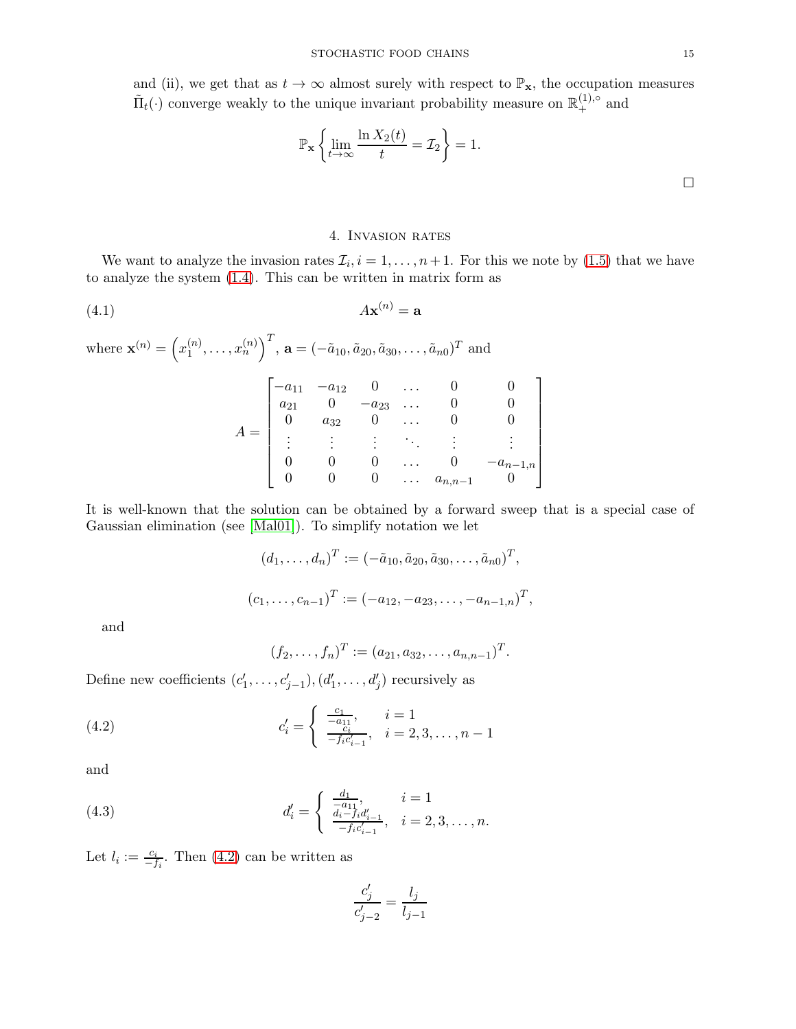and (ii), we get that as  $t \to \infty$  almost surely with respect to  $\mathbb{P}_{\mathbf{x}}$ , the occupation measures  $\tilde{\Pi}_t(\cdot)$  converge weakly to the unique invariant probability measure on  $\mathbb{R}^{(1),\circ}_+$  and

$$
\mathbb{P}_{\mathbf{x}}\left\{\lim_{t\to\infty}\frac{\ln X_2(t)}{t} = \mathcal{I}_2\right\} = 1.
$$

## 4. Invasion rates

<span id="page-14-0"></span>We want to analyze the invasion rates  $\mathcal{I}_i, i = 1, \ldots, n+1$ . For this we note by [\(1.5\)](#page-3-1) that we have to analyze the system [\(1.4\)](#page-2-1). This can be written in matrix form as

$$
A\mathbf{x}^{(n)} = \mathbf{a}
$$

where  $\mathbf{x}^{(n)} = \left(x_1^{(n)}\right)$  $\binom{n}{1}, \ldots, x_n^{(n)}$ ,  $\mathbf{a} = (-\tilde{a}_{10}, \tilde{a}_{20}, \tilde{a}_{30}, \ldots, \tilde{a}_{n0})^T$  and

| $-a_{11}$ | $-a_{12}$ |           | . .      |             |             |
|-----------|-----------|-----------|----------|-------------|-------------|
| $a_{21}$  |           | $-a_{23}$ | . .      |             |             |
|           | $a_{32}$  |           | $\cdots$ |             |             |
| ۰         |           |           |          |             |             |
|           |           |           | . .      |             | $a_{n-1,n}$ |
|           |           |           | $\cdots$ | $a_{n,n-1}$ |             |

It is well-known that the solution can be obtained by a forward sweep that is a special case of Gaussian elimination (see [\[Mal01\]](#page-20-24)). To simplify notation we let

$$
(d_1, \ldots, d_n)^T := (-\tilde{a}_{10}, \tilde{a}_{20}, \tilde{a}_{30}, \ldots, \tilde{a}_{n0})^T,
$$
  

$$
(c_1, \ldots, c_{n-1})^T := (-a_{12}, -a_{23}, \ldots, -a_{n-1,n})^T,
$$

and

<span id="page-14-1"></span>
$$
(f_2,\ldots,f_n)^T := (a_{21},a_{32},\ldots,a_{n,n-1})^T.
$$

Define new coefficients  $(c'_1, \ldots, c'_{j-1}), (d'_1, \ldots, d'_j)$  recursively as

(4.2) 
$$
c'_{i} = \begin{cases} \frac{c_{1}}{-a_{11}}, & i = 1\\ \frac{c_{i}}{-f_{i}c'_{i-1}}, & i = 2, 3, \ldots, n-1 \end{cases}
$$

and

(4.3) 
$$
d'_{i} = \begin{cases} \frac{d_{1}}{-a_{11}}, & i = 1 \\ \frac{d_{i}-f_{i}d'_{i-1}}{-f_{i}c'_{i-1}}, & i = 2,3,\ldots,n. \end{cases}
$$

Let  $l_i := \frac{c_i}{-f_i}$ . Then [\(4.2\)](#page-14-1) can be written as

<span id="page-14-2"></span>
$$
\frac{c_j'}{c_{j-2}'}=\frac{l_j}{l_{j-1}}
$$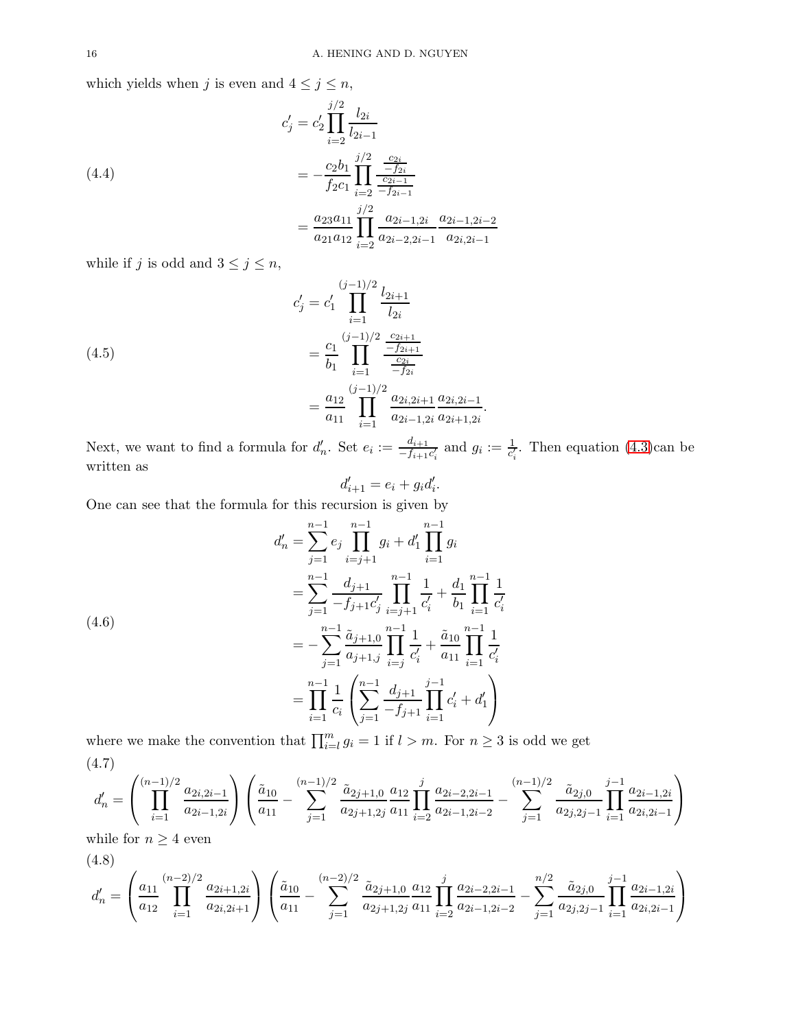which yields when j is even and  $4 \leq j \leq n$ ,

(4.4)  
\n
$$
c'_{j} = c'_{2} \prod_{i=2}^{j/2} \frac{l_{2i}}{l_{2i-1}}
$$
\n
$$
= -\frac{c_{2}b_{1}}{f_{2}c_{1}} \prod_{i=2}^{j/2} \frac{\frac{c_{2i}}{-f_{2i}}}{-f_{2i-1}}
$$
\n
$$
= \frac{a_{23}a_{11}}{a_{21}a_{12}} \prod_{i=2}^{j/2} \frac{a_{2i-1,2i}}{a_{2i-2,2i-1}} \frac{a_{2i-1,2i-2}}{a_{2i,2i-1}}
$$

while if  $j$  is odd and  $3 \leq j \leq n$ ,

(4.5)  

$$
c'_{j} = c'_{1} \prod_{i=1}^{(j-1)/2} \frac{l_{2i+1}}{l_{2i}}
$$

$$
= \frac{c_{1}}{b_{1}} \prod_{i=1}^{(j-1)/2} \frac{\frac{c_{2i+1}}{-f_{2i+1}}}{\frac{c_{2i}}{-f_{2i}}} = \frac{a_{12}}{a_{11}} \prod_{i=1}^{(j-1)/2} \frac{a_{2i,2i+1}}{a_{2i-1,2i}} \frac{a_{2i,2i-1}}{a_{2i+1,2i}}.
$$

Next, we want to find a formula for  $d'_n$ . Set  $e_i := \frac{d_{i+1}}{-f_{i+1}}$  $\frac{d_{i+1}}{-f_{i+1}c'_i}$  and  $g_i := \frac{1}{c'_i}$ . Then equation [\(4.3\)](#page-14-2)can be written as

$$
d'_{i+1} = e_i + g_i d'_i.
$$

One can see that the formula for this recursion is given by

$$
d'_{n} = \sum_{j=1}^{n-1} e_{j} \prod_{i=j+1}^{n-1} g_{i} + d'_{1} \prod_{i=1}^{n-1} g_{i}
$$
  
\n
$$
= \sum_{j=1}^{n-1} \frac{d_{j+1}}{-f_{j+1}c'_{j}} \prod_{i=j+1}^{n-1} \frac{1}{c'_{i}} + \frac{d_{1}}{b_{1}} \prod_{i=1}^{n-1} \frac{1}{c'_{i}}
$$
  
\n
$$
= -\sum_{j=1}^{n-1} \frac{\tilde{a}_{j+1,0}}{a_{j+1,j}} \prod_{i=j}^{n-1} \frac{1}{c'_{i}} + \frac{\tilde{a}_{10}}{a_{11}} \prod_{i=1}^{n-1} \frac{1}{c'_{i}}
$$
  
\n
$$
= \prod_{i=1}^{n-1} \frac{1}{c_{i}} \left( \sum_{j=1}^{n-1} \frac{d_{j+1}}{-f_{j+1}} \prod_{i=1}^{j-1} c'_{i} + d'_{1} \right)
$$

where we make the convention that  $\prod_{i=l}^{m} g_i = 1$  if  $l > m$ . For  $n \geq 3$  is odd we get (4.7)

<span id="page-15-0"></span>
$$
d'_n = \left(\prod_{i=1}^{(n-1)/2} \frac{a_{2i,2i-1}}{a_{2i-1,2i}}\right) \left(\frac{\tilde{a}_{10}}{a_{11}} - \sum_{j=1}^{(n-1)/2} \frac{\tilde{a}_{2j+1,0}}{a_{2j+1,2j}} \frac{a_{12}}{a_{11}} \prod_{i=2}^j \frac{a_{2i-2,2i-1}}{a_{2i-1,2i-2}} - \sum_{j=1}^{(n-1)/2} \frac{\tilde{a}_{2j,0}}{a_{2j,2j-1}} \prod_{i=1}^{j-1} \frac{a_{2i-1,2i}}{a_{2i,2i-1}}\right)
$$

while for  $n \geq 4$  even

(4.8)

<span id="page-15-1"></span>
$$
d'_{n} = \left(\frac{a_{11}}{a_{12}} \prod_{i=1}^{(n-2)/2} \frac{a_{2i+1,2i}}{a_{2i,2i+1}}\right) \left(\frac{\tilde{a}_{10}}{a_{11}} - \sum_{j=1}^{(n-2)/2} \frac{\tilde{a}_{2j+1,0}}{a_{2j+1,2j}} \frac{a_{12}}{a_{11}} \prod_{i=2}^{j} \frac{a_{2i-2,2i-1}}{a_{2i-1,2i-2}} - \sum_{j=1}^{n/2} \frac{\tilde{a}_{2j,0}}{a_{2j,2j-1}} \prod_{i=1}^{j-1} \frac{a_{2i-1,2i}}{a_{2i,2i-1}}\right)
$$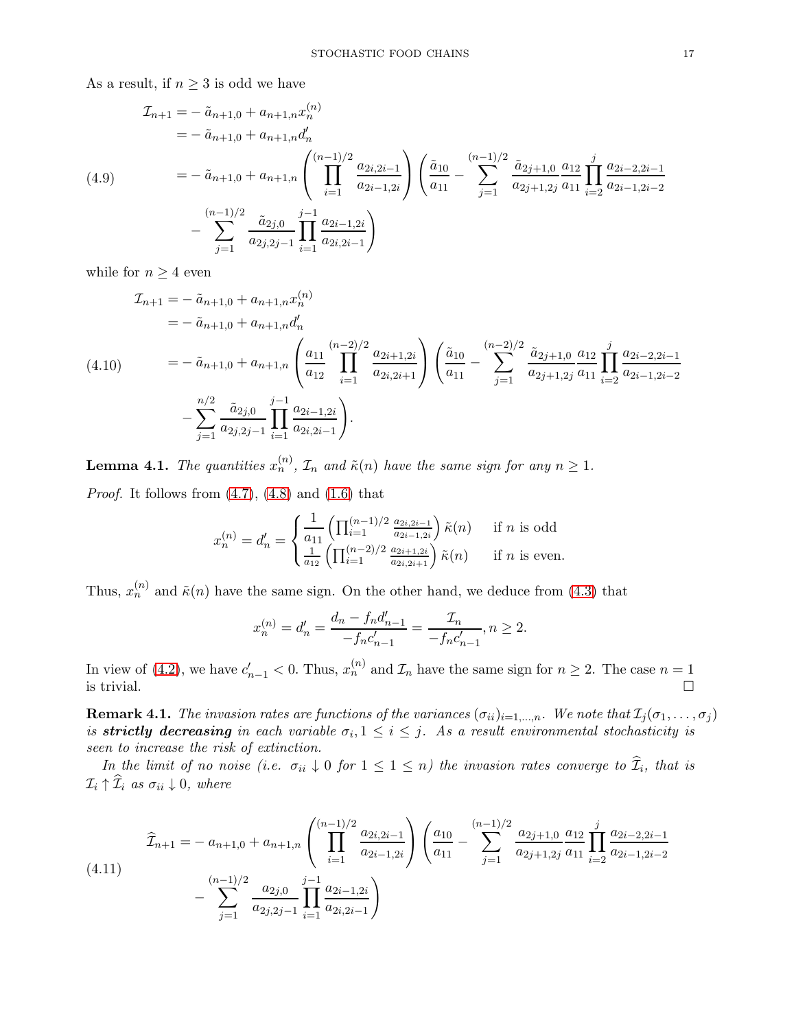As a result, if  $n \geq 3$  is odd we have

$$
\mathcal{I}_{n+1} = -\tilde{a}_{n+1,0} + a_{n+1,n} x_n^{(n)}
$$
\n
$$
= -\tilde{a}_{n+1,0} + a_{n+1,n} d'_n
$$
\n
$$
(4.9) \qquad = -\tilde{a}_{n+1,0} + a_{n+1,n} \left( \prod_{i=1}^{(n-1)/2} \frac{a_{2i,2i-1}}{a_{2i-1,2i}} \right) \left( \frac{\tilde{a}_{10}}{a_{11}} - \sum_{j=1}^{(n-1)/2} \frac{\tilde{a}_{2j+1,0}}{a_{2j+1,2j}} \frac{a_{12}}{a_{11}} \prod_{i=2}^{j} \frac{a_{2i-2,2i-1}}{a_{2i-1,2i-2}} - \sum_{j=1}^{(n-1)/2} \frac{\tilde{a}_{2j,0}}{a_{2j,2j-1}} \prod_{i=1}^{j-1} \frac{a_{2i-1,2i}}{a_{2i,2i-1}} \right)
$$

while for  $n \geq 4$  even

$$
\mathcal{I}_{n+1} = -\tilde{a}_{n+1,0} + a_{n+1,n} x_n^{(n)}
$$
\n
$$
= -\tilde{a}_{n+1,0} + a_{n+1,n} d'_n
$$
\n
$$
(4.10) \qquad = -\tilde{a}_{n+1,0} + a_{n+1,n} \left( \frac{a_{11}}{a_{12}} \prod_{i=1}^{(n-2)/2} \frac{a_{2i+1,2i}}{a_{2i,2i+1}} \right) \left( \frac{\tilde{a}_{10}}{a_{11}} - \sum_{j=1}^{(n-2)/2} \frac{\tilde{a}_{2j+1,0}}{a_{2j+1,2j}} \frac{a_{12}}{a_{11}} \prod_{i=2}^{j} \frac{a_{2i-2,2i-1}}{a_{2i-1,2i-2}} \right)
$$
\n
$$
- \sum_{j=1}^{n/2} \frac{\tilde{a}_{2j,0}}{a_{2j,2j-1}} \prod_{i=1}^{j-1} \frac{a_{2i-1,2i}}{a_{2i,2i-1}} \right).
$$

<span id="page-16-0"></span>**Lemma 4.1.** The quantities  $x_n^{(n)}$ ,  $\mathcal{I}_n$  and  $\tilde{\kappa}(n)$  have the same sign for any  $n \geq 1$ . *Proof.* It follows from  $(4.7)$ ,  $(4.8)$  and  $(1.6)$  that

$$
x_n^{(n)} = d'_n = \begin{cases} \frac{1}{a_{11}} \left( \prod_{i=1}^{(n-1)/2} \frac{a_{2i,2i-1}}{a_{2i-1,2i}} \right) \tilde{\kappa}(n) & \text{if } n \text{ is odd} \\ \frac{1}{a_{12}} \left( \prod_{i=1}^{(n-2)/2} \frac{a_{2i+1,2i}}{a_{2i,2i+1}} \right) \tilde{\kappa}(n) & \text{if } n \text{ is even.} \end{cases}
$$

Thus,  $x_n^{(n)}$  and  $\tilde{\kappa}(n)$  have the same sign. On the other hand, we deduce from [\(4.3\)](#page-14-2) that

$$
x_n^{(n)} = d'_n = \frac{d_n - f_n d'_{n-1}}{-f_n c'_{n-1}} = \frac{\mathcal{I}_n}{-f_n c'_{n-1}}, n \ge 2.
$$

In view of [\(4.2\)](#page-14-1), we have  $c'_{n-1} < 0$ . Thus,  $x_n^{(n)}$  and  $\mathcal{I}_n$  have the same sign for  $n \geq 2$ . The case  $n = 1$ is trivial.  $\Box$ 

**Remark 4.1.** The invasion rates are functions of the variances  $(\sigma_{ii})_{i=1,\dots,n}$ . We note that  $\mathcal{I}_j(\sigma_1,\dots,\sigma_j)$ is **strictly decreasing** in each variable  $\sigma_i, 1 \leq i \leq j$ . As a result environmental stochasticity is seen to increase the risk of extinction.

In the limit of no noise (i.e.  $\sigma_{ii} \downarrow 0$  for  $1 \leq 1 \leq n$ ) the invasion rates converge to  $\mathcal{I}_i$ , that is  $\mathcal{I}_i \uparrow \widehat{\mathcal{I}}_i$  as  $\sigma_{ii} \downarrow 0$ , where

$$
\widehat{\mathcal{I}}_{n+1} = -a_{n+1,0} + a_{n+1,n} \left( \prod_{i=1}^{(n-1)/2} \frac{a_{2i,2i-1}}{a_{2i-1,2i}} \right) \left( \frac{a_{10}}{a_{11}} - \sum_{j=1}^{(n-1)/2} \frac{a_{2j+1,0}}{a_{2j+1,2j}} \frac{a_{12}}{a_{11}} \prod_{i=2}^{j} \frac{a_{2i-2,2i-1}}{a_{2i-1,2i-2}} \right)
$$
\n
$$
-\sum_{j=1}^{(n-1)/2} \frac{a_{2j,0}}{a_{2j,2j-1}} \prod_{i=1}^{j-1} \frac{a_{2i-1,2i}}{a_{2i,2i-1}} \right)
$$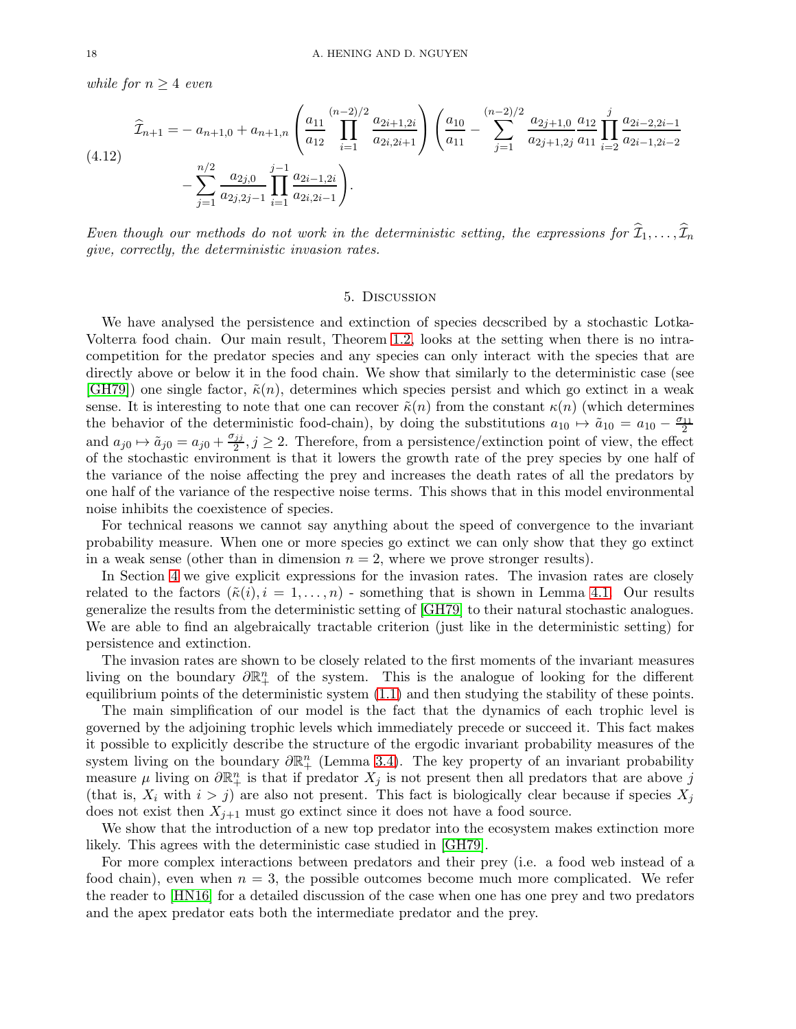while for  $n \geq 4$  even

$$
\hat{\mathcal{I}}_{n+1} = -a_{n+1,0} + a_{n+1,n} \left( \frac{a_{11}}{a_{12}} \prod_{i=1}^{(n-2)/2} \frac{a_{2i+1,2i}}{a_{2i,2i+1}} \right) \left( \frac{a_{10}}{a_{11}} - \sum_{j=1}^{(n-2)/2} \frac{a_{2j+1,0}}{a_{2j+1,2j}} \frac{a_{12}}{a_{11}} \prod_{i=2}^{j} \frac{a_{2i-2,2i-1}}{a_{2i-1,2i-2}} - \sum_{j=1}^{n/2} \frac{a_{2j,0}}{a_{2j,2j-1}} \prod_{i=1}^{j-1} \frac{a_{2i-1,2i}}{a_{2i,2i-1}} \right).
$$
\n(4.12)

Even though our methods do not work in the deterministic setting, the expressions for  $\widehat{\mathcal{I}}_1, \ldots, \widehat{\mathcal{I}}_n$ give, correctly, the deterministic invasion rates.

#### 5. Discussion

<span id="page-17-0"></span>We have analysed the persistence and extinction of species decscribed by a stochastic Lotka-Volterra food chain. Our main result, Theorem [1.2,](#page-4-0) looks at the setting when there is no intracompetition for the predator species and any species can only interact with the species that are directly above or below it in the food chain. We show that similarly to the deterministic case (see  $[\text{GH79}]$  one single factor,  $\tilde{\kappa}(n)$ , determines which species persist and which go extinct in a weak sense. It is interesting to note that one can recover  $\tilde{\kappa}(n)$  from the constant  $\kappa(n)$  (which determines the behavior of the deterministic food-chain), by doing the substitutions  $a_{10} \mapsto \tilde{a}_{10} = a_{10} - \frac{\sigma_{11}}{2}$ 2 and  $a_{j0} \mapsto \tilde{a}_{j0} = a_{j0} + \frac{\sigma_{jj}}{2}$  $\frac{jj}{2}, j \geq 2$ . Therefore, from a persistence/extinction point of view, the effect of the stochastic environment is that it lowers the growth rate of the prey species by one half of the variance of the noise affecting the prey and increases the death rates of all the predators by one half of the variance of the respective noise terms. This shows that in this model environmental noise inhibits the coexistence of species.

For technical reasons we cannot say anything about the speed of convergence to the invariant probability measure. When one or more species go extinct we can only show that they go extinct in a weak sense (other than in dimension  $n = 2$ , where we prove stronger results).

In Section [4](#page-14-0) we give explicit expressions for the invasion rates. The invasion rates are closely related to the factors  $(\tilde{\kappa}(i), i = 1, \ldots, n)$  - something that is shown in Lemma [4.1.](#page-16-0) Our results generalize the results from the deterministic setting of [\[GH79\]](#page-20-2) to their natural stochastic analogues. We are able to find an algebraically tractable criterion (just like in the deterministic setting) for persistence and extinction.

The invasion rates are shown to be closely related to the first moments of the invariant measures living on the boundary  $\partial \mathbb{R}^n_+$  of the system. This is the analogue of looking for the different equilibrium points of the deterministic system [\(1.1\)](#page-1-0) and then studying the stability of these points.

The main simplification of our model is the fact that the dynamics of each trophic level is governed by the adjoining trophic levels which immediately precede or succeed it. This fact makes it possible to explicitly describe the structure of the ergodic invariant probability measures of the system living on the boundary  $\partial \mathbb{R}^n_+$  (Lemma [3.4\)](#page-9-2). The key property of an invariant probability measure  $\mu$  living on  $\partial \mathbb{R}^n_+$  is that if predator  $X_j$  is not present then all predators that are above j (that is,  $X_i$  with  $i > j$ ) are also not present. This fact is biologically clear because if species  $X_j$ does not exist then  $X_{j+1}$  must go extinct since it does not have a food source.

We show that the introduction of a new top predator into the ecosystem makes extinction more likely. This agrees with the deterministic case studied in [\[GH79\]](#page-20-2).

For more complex interactions between predators and their prey (i.e. a food web instead of a food chain), even when  $n = 3$ , the possible outcomes become much more complicated. We refer the reader to [\[HN16\]](#page-20-11) for a detailed discussion of the case when one has one prey and two predators and the apex predator eats both the intermediate predator and the prey.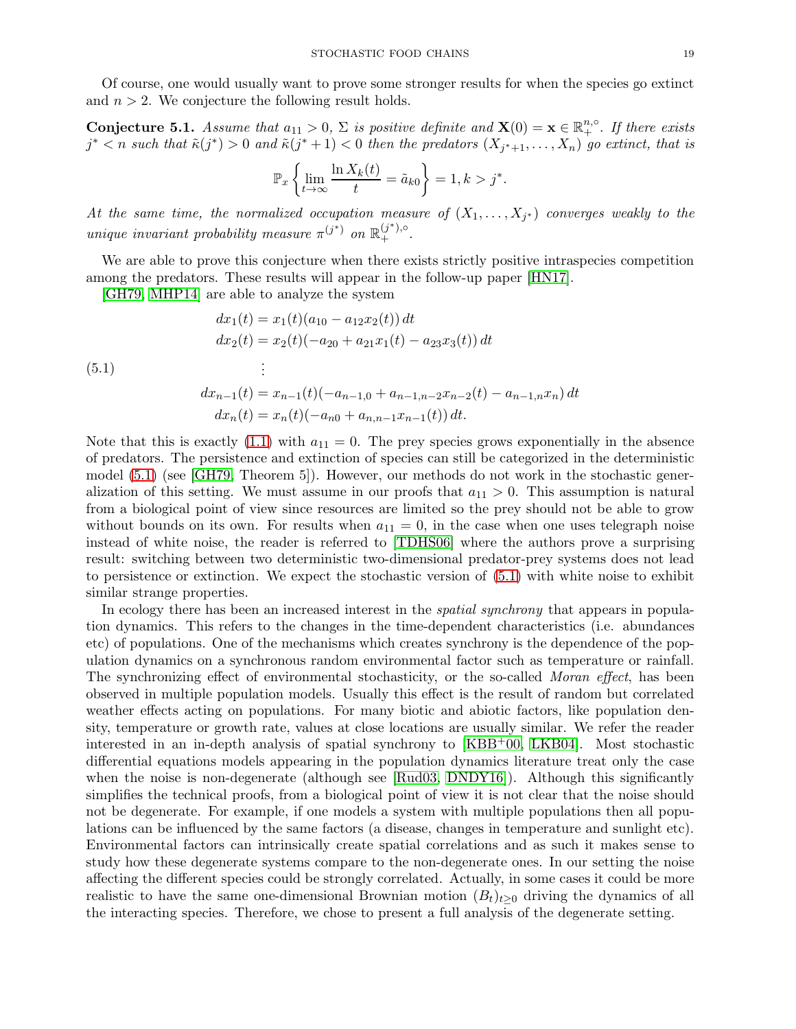Of course, one would usually want to prove some stronger results for when the species go extinct and  $n > 2$ . We conjecture the following result holds.

**Conjecture 5.1.** Assume that  $a_{11} > 0$ ,  $\Sigma$  is positive definite and  $\mathbf{X}(0) = \mathbf{x} \in \mathbb{R}^{n, \circ}_{+}$ . If there exists  $j^*$   $\lt n$  such that  $\tilde{\kappa}(j^*) > 0$  and  $\tilde{\kappa}(j^*+1) < 0$  then the predators  $(X_{j^*+1}, \ldots, X_n)$  go extinct, that is

$$
\mathbb{P}_x\left\{\lim_{t\to\infty}\frac{\ln X_k(t)}{t}=\tilde{a}_{k0}\right\}=1, k>j^*.
$$

At the same time, the normalized occupation measure of  $(X_1, \ldots, X_{j^*})$  converges weakly to the unique invariant probability measure  $\pi^{(j^*)}$  on  $\mathbb{R}^{(j^*),\circ}_{+}$ .

We are able to prove this conjecture when there exists strictly positive intraspecies competition among the predators. These results will appear in the follow-up paper [\[HN17\]](#page-20-7).

[\[GH79,](#page-20-2) [MHP14\]](#page-20-25) are able to analyze the system

<span id="page-18-0"></span>(5.1)  
\n
$$
dx_1(t) = x_1(t)(a_{10} - a_{12}x_2(t)) dt
$$
\n
$$
dx_2(t) = x_2(t)(-a_{20} + a_{21}x_1(t) - a_{23}x_3(t)) dt
$$
\n
$$
\vdots
$$
\n
$$
dx_{n-1}(t) = x_{n-1}(t)(-a_{n-1,0} + a_{n-1,n-2}x_{n-2}(t) - a_{n-1,n}x_n) dt
$$
\n
$$
dx_n(t) = x_n(t)(-a_{n0} + a_{n,n-1}x_{n-1}(t)) dt.
$$

Note that this is exactly [\(1.1\)](#page-1-0) with  $a_{11} = 0$ . The prey species grows exponentially in the absence of predators. The persistence and extinction of species can still be categorized in the deterministic model [\(5.1\)](#page-18-0) (see [\[GH79,](#page-20-2) Theorem 5]). However, our methods do not work in the stochastic generalization of this setting. We must assume in our proofs that  $a_{11} > 0$ . This assumption is natural from a biological point of view since resources are limited so the prey should not be able to grow without bounds on its own. For results when  $a_{11} = 0$ , in the case when one uses telegraph noise instead of white noise, the reader is referred to [\[TDHS06\]](#page-20-26) where the authors prove a surprising result: switching between two deterministic two-dimensional predator-prey systems does not lead to persistence or extinction. We expect the stochastic version of [\(5.1\)](#page-18-0) with white noise to exhibit similar strange properties.

In ecology there has been an increased interest in the *spatial synchrony* that appears in population dynamics. This refers to the changes in the time-dependent characteristics (i.e. abundances etc) of populations. One of the mechanisms which creates synchrony is the dependence of the population dynamics on a synchronous random environmental factor such as temperature or rainfall. The synchronizing effect of environmental stochasticity, or the so-called *Moran effect*, has been observed in multiple population models. Usually this effect is the result of random but correlated weather effects acting on populations. For many biotic and abiotic factors, like population density, temperature or growth rate, values at close locations are usually similar. We refer the reader interested in an in-depth analysis of spatial synchrony to [\[KBB](#page-20-27)+00, [LKB04\]](#page-20-28). Most stochastic differential equations models appearing in the population dynamics literature treat only the case when the noise is non-degenerate (although see [\[Rud03,](#page-20-18) [DNDY16\]](#page-19-13)). Although this significantly simplifies the technical proofs, from a biological point of view it is not clear that the noise should not be degenerate. For example, if one models a system with multiple populations then all populations can be influenced by the same factors (a disease, changes in temperature and sunlight etc). Environmental factors can intrinsically create spatial correlations and as such it makes sense to study how these degenerate systems compare to the non-degenerate ones. In our setting the noise affecting the different species could be strongly correlated. Actually, in some cases it could be more realistic to have the same one-dimensional Brownian motion  $(B_t)_{t\geq0}$  driving the dynamics of all the interacting species. Therefore, we chose to present a full analysis of the degenerate setting.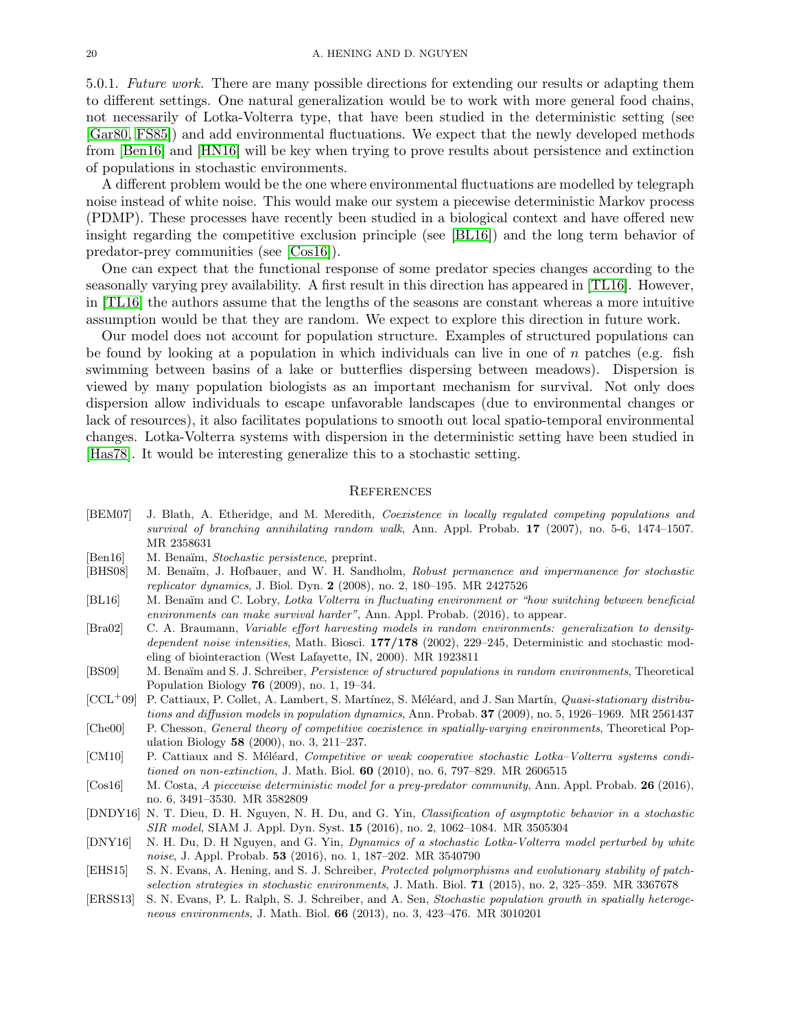5.0.1. Future work. There are many possible directions for extending our results or adapting them to different settings. One natural generalization would be to work with more general food chains, not necessarily of Lotka-Volterra type, that have been studied in the deterministic setting (see [\[Gar80,](#page-20-5) [FS85\]](#page-20-6)) and add environmental fluctuations. We expect that the newly developed methods from [\[Ben16\]](#page-19-10) and [\[HN16\]](#page-20-11) will be key when trying to prove results about persistence and extinction of populations in stochastic environments.

A different problem would be the one where environmental fluctuations are modelled by telegraph noise instead of white noise. This would make our system a piecewise deterministic Markov process (PDMP). These processes have recently been studied in a biological context and have offered new insight regarding the competitive exclusion principle (see [\[BL16\]](#page-19-9)) and the long term behavior of predator-prey communities (see [\[Cos16\]](#page-19-14)).

One can expect that the functional response of some predator species changes according to the seasonally varying prey availability. A first result in this direction has appeared in [\[TL16\]](#page-20-29). However, in [\[TL16\]](#page-20-29) the authors assume that the lengths of the seasons are constant whereas a more intuitive assumption would be that they are random. We expect to explore this direction in future work.

Our model does not account for population structure. Examples of structured populations can be found by looking at a population in which individuals can live in one of n patches (e.g. fish swimming between basins of a lake or butterflies dispersing between meadows). Dispersion is viewed by many population biologists as an important mechanism for survival. Not only does dispersion allow individuals to escape unfavorable landscapes (due to environmental changes or lack of resources), it also facilitates populations to smooth out local spatio-temporal environmental changes. Lotka-Volterra systems with dispersion in the deterministic setting have been studied in [\[Has78\]](#page-20-30). It would be interesting generalize this to a stochastic setting.

#### <span id="page-19-0"></span>**REFERENCES**

- <span id="page-19-4"></span>[BEM07] J. Blath, A. Etheridge, and M. Meredith, Coexistence in locally regulated competing populations and survival of branching annihilating random walk, Ann. Appl. Probab. 17 (2007), no. 5-6, 1474-1507. MR 2358631
- <span id="page-19-10"></span>[Ben16] M. Benaïm, Stochastic persistence, preprint.
- <span id="page-19-6"></span>[BHS08] M. Benaïm, J. Hofbauer, and W. H. Sandholm, Robust permanence and impermanence for stochastic replicator dynamics, J. Biol. Dyn. 2 (2008), no. 2, 180–195. MR 2427526
- <span id="page-19-9"></span>[BL16] M. Benaïm and C. Lobry, Lotka Volterra in fluctuating environment or "how switching between beneficial environments can make survival harder", Ann. Appl. Probab. (2016), to appear.
- <span id="page-19-11"></span>[Bra02] C. A. Braumann, Variable effort harvesting models in random environments: generalization to densitydependent noise intensities, Math. Biosci. 177/178 (2002), 229-245, Deterministic and stochastic modeling of biointeraction (West Lafayette, IN, 2000). MR 1923811
- <span id="page-19-5"></span>[BS09] M. Benaïm and S. J. Schreiber, Persistence of structured populations in random environments, Theoretical Population Biology 76 (2009), no. 1, 19–34.
- <span id="page-19-8"></span> $[CCL^+09]$  P. Cattiaux, P. Collet, A. Lambert, S. Martínez, S. Méléard, and J. San Martín, *Quasi-stationary distribu*tions and diffusion models in population dynamics, Ann. Probab. **37** (2009), no. 5, 1926–1969. MR 2561437 [Che00] P. Chesson, General theory of competitive coexistence in spatially-varying environments, Theoretical Pop-
- <span id="page-19-7"></span><span id="page-19-1"></span>ulation Biology 58 (2000), no. 3, 211–237. [CM10] P. Cattiaux and S. Méléard, Competitive or weak cooperative stochastic Lotka–Volterra systems conditioned on non-extinction, J. Math. Biol. 60 (2010), no. 6, 797–829. MR 2606515
- <span id="page-19-14"></span>[Cos16] M. Costa, A piecewise deterministic model for a prey-predator community, Ann. Appl. Probab. 26 (2016), no. 6, 3491–3530. MR 3582809
- <span id="page-19-13"></span>[DNDY16] N. T. Dieu, D. H. Nguyen, N. H. Du, and G. Yin, Classification of asymptotic behavior in a stochastic SIR model, SIAM J. Appl. Dyn. Syst. 15 (2016), no. 2, 1062–1084. MR 3505304
- <span id="page-19-12"></span>[DNY16] N. H. Du, D. H Nguyen, and G. Yin, Dynamics of a stochastic Lotka-Volterra model perturbed by white noise, J. Appl. Probab. **53** (2016), no. 1, 187–202. MR 3540790
- <span id="page-19-3"></span>[EHS15] S. N. Evans, A. Hening, and S. J. Schreiber, Protected polymorphisms and evolutionary stability of patchselection strategies in stochastic environments, J. Math. Biol. 71 (2015), no. 2, 325–359. MR 3367678
- <span id="page-19-2"></span>[ERSS13] S. N. Evans, P. L. Ralph, S. J. Schreiber, and A. Sen, Stochastic population growth in spatially heterogeneous environments, J. Math. Biol. 66 (2013), no. 3, 423–476. MR 3010201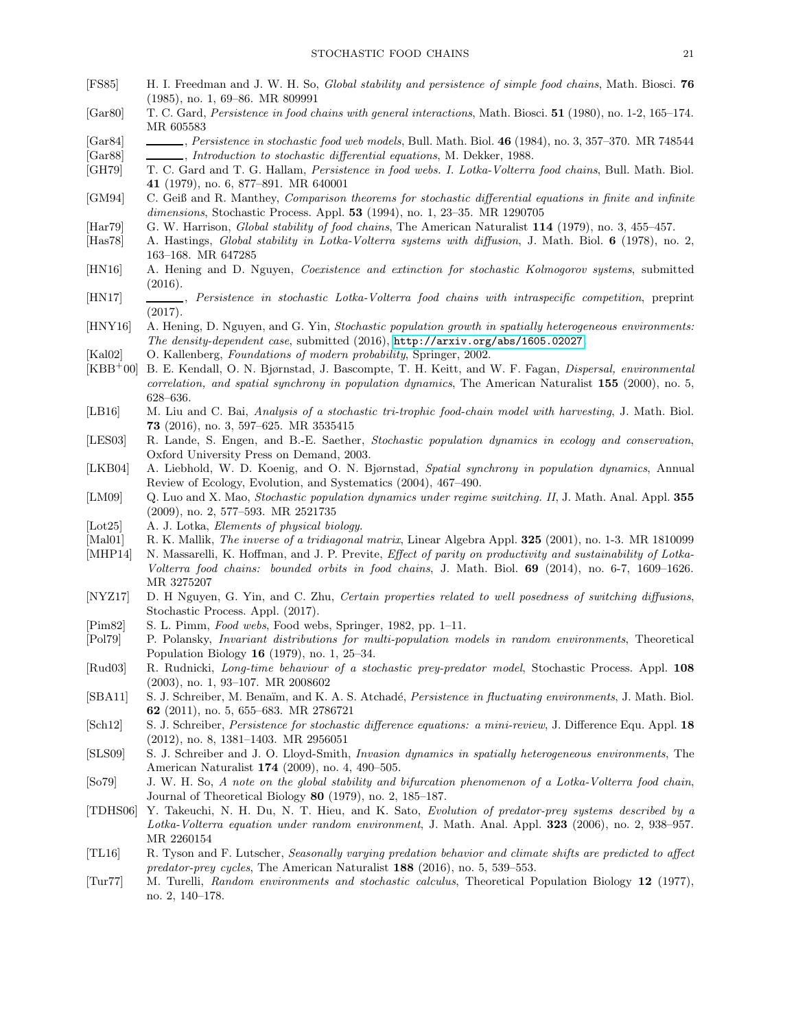- <span id="page-20-6"></span>[FS85] H. I. Freedman and J. W. H. So, Global stability and persistence of simple food chains, Math. Biosci. 76 (1985), no. 1, 69–86. MR 809991
- <span id="page-20-5"></span>[Gar80] T. C. Gard, Persistence in food chains with general interactions, Math. Biosci. 51 (1980), no. 1-2, 165–174. MR 605583
- <span id="page-20-15"></span><span id="page-20-13"></span>[Gar84] , Persistence in stochastic food web models, Bull. Math. Biol. 46 (1984), no. 3, 357-370. MR 748544 [Gar88] , Introduction to stochastic differential equations, M. Dekker, 1988.
- <span id="page-20-2"></span>[GH79] T. C. Gard and T. G. Hallam, Persistence in food webs. I. Lotka-Volterra food chains, Bull. Math. Biol. 41 (1979), no. 6, 877–891. MR 640001
- <span id="page-20-23"></span>[GM94] C. Geiß and R. Manthey, Comparison theorems for stochastic differential equations in finite and infinite dimensions, Stochastic Process. Appl. 53 (1994), no. 1, 23–35. MR 1290705
- <span id="page-20-4"></span>[Har79] G. W. Harrison, Global stability of food chains, The American Naturalist 114 (1979), no. 3, 455–457.
- <span id="page-20-30"></span>[Has78] A. Hastings, Global stability in Lotka-Volterra systems with diffusion, J. Math. Biol. 6 (1978), no. 2, 163–168. MR 647285
- <span id="page-20-11"></span>[HN16] A. Hening and D. Nguyen, Coexistence and extinction for stochastic Kolmogorov systems, submitted (2016).
- <span id="page-20-7"></span>[HN17] , Persistence in stochastic Lotka-Volterra food chains with intraspecific competition, preprint (2017).
- <span id="page-20-14"></span>[HNY16] A. Hening, D. Nguyen, and G. Yin, Stochastic population growth in spatially heterogeneous environments: The density-dependent case, submitted (2016), <http://arxiv.org/abs/1605.02027>.
- <span id="page-20-22"></span>[Kal02] O. Kallenberg, Foundations of modern probability, Springer, 2002.
- <span id="page-20-27"></span>[KBB<sup>+</sup>00] B. E. Kendall, O. N. Bjørnstad, J. Bascompte, T. H. Keitt, and W. F. Fagan, Dispersal, environmental correlation, and spatial synchrony in population dynamics, The American Naturalist 155 (2000), no. 5, 628–636.
- <span id="page-20-17"></span>[LB16] M. Liu and C. Bai, Analysis of a stochastic tri-trophic food-chain model with harvesting, J. Math. Biol. 73 (2016), no. 3, 597–625. MR 3535415
- <span id="page-20-8"></span>[LES03] R. Lande, S. Engen, and B.-E. Saether, Stochastic population dynamics in ecology and conservation, Oxford University Press on Demand, 2003.
- <span id="page-20-28"></span>[LKB04] A. Liebhold, W. D. Koenig, and O. N. Bjørnstad, Spatial synchrony in population dynamics, Annual Review of Ecology, Evolution, and Systematics (2004), 467–490.
- <span id="page-20-20"></span>[LM09] Q. Luo and X. Mao, Stochastic population dynamics under regime switching. II, J. Math. Anal. Appl. 355 (2009), no. 2, 577–593. MR 2521735
- <span id="page-20-1"></span>[Lot25] A. J. Lotka, *Elements of physical biology*.
- <span id="page-20-24"></span>[Mal01] R. K. Mallik, The inverse of a tridiagonal matrix, Linear Algebra Appl. 325 (2001), no. 1-3. MR 1810099
- <span id="page-20-25"></span>[MHP14] N. Massarelli, K. Hoffman, and J. P. Previte, *Effect of parity on productivity and sustainability of Lotka*-Volterra food chains: bounded orbits in food chains, J. Math. Biol. 69 (2014), no. 6-7, 1609–1626. MR 3275207
- <span id="page-20-21"></span>[NYZ17] D. H Nguyen, G. Yin, and C. Zhu, Certain properties related to well posedness of switching diffusions, Stochastic Process. Appl. (2017).
- <span id="page-20-0"></span>[Pim82] S. L. Pimm, Food webs, Food webs, Springer, 1982, pp. 1–11.
- <span id="page-20-19"></span>[Pol79] P. Polansky, Invariant distributions for multi-population models in random environments, Theoretical Population Biology 16 (1979), no. 1, 25–34.
- <span id="page-20-18"></span>[Rud03] R. Rudnicki, Long-time behaviour of a stochastic prey-predator model, Stochastic Process. Appl. 108 (2003), no. 1, 93–107. MR 2008602
- <span id="page-20-10"></span>[SBA11] S. J. Schreiber, M. Benaïm, and K. A. S. Atchadé, *Persistence in fluctuating environments*, J. Math. Biol. 62 (2011), no. 5, 655–683. MR 2786721
- <span id="page-20-16"></span>[Sch12] S. J. Schreiber, Persistence for stochastic difference equations: a mini-review, J. Difference Equ. Appl. 18 (2012), no. 8, 1381–1403. MR 2956051
- <span id="page-20-9"></span>[SLS09] S. J. Schreiber and J. O. Lloyd-Smith, Invasion dynamics in spatially heterogeneous environments, The American Naturalist 174 (2009), no. 4, 490–505.
- <span id="page-20-3"></span>[So79] J. W. H. So, A note on the global stability and bifurcation phenomenon of a Lotka-Volterra food chain, Journal of Theoretical Biology 80 (1979), no. 2, 185–187.
- <span id="page-20-26"></span>[TDHS06] Y. Takeuchi, N. H. Du, N. T. Hieu, and K. Sato, Evolution of predator-prey systems described by a Lotka-Volterra equation under random environment, J. Math. Anal. Appl. 323 (2006), no. 2, 938–957. MR 2260154
- <span id="page-20-29"></span>[TL16] R. Tyson and F. Lutscher, Seasonally varying predation behavior and climate shifts are predicted to affect predator-prey cycles, The American Naturalist 188 (2016), no. 5, 539–553.
- <span id="page-20-12"></span>[Tur77] M. Turelli, Random environments and stochastic calculus, Theoretical Population Biology 12 (1977), no. 2, 140–178.